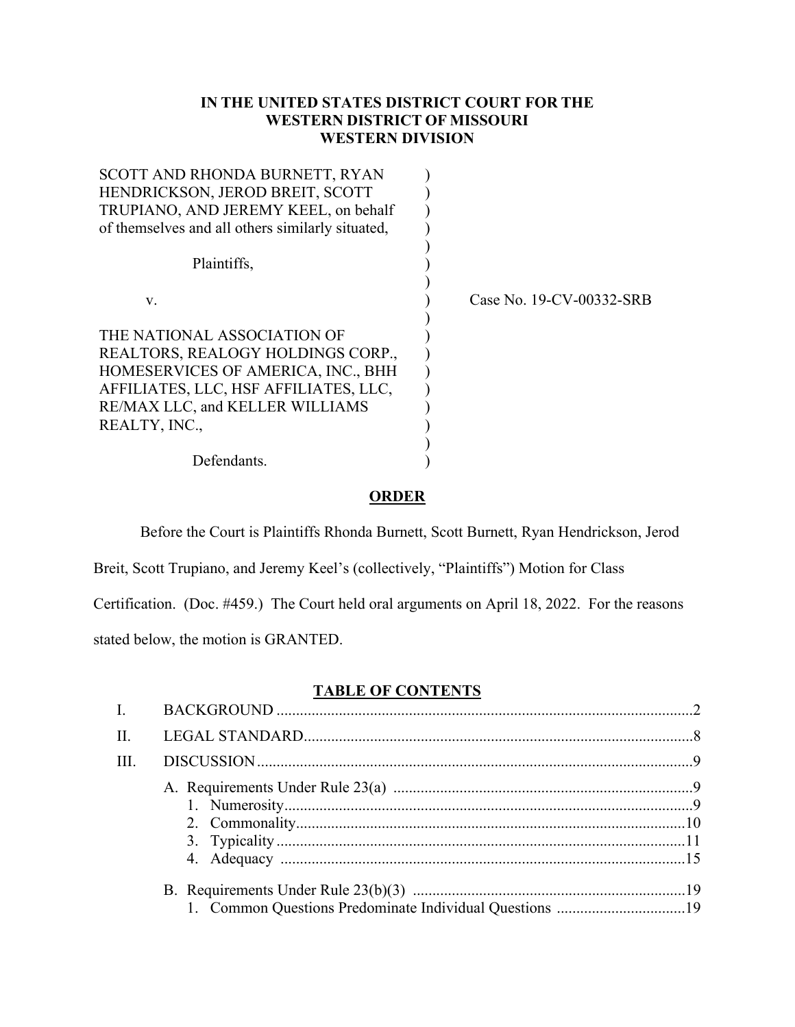# **IN THE UNITED STATES DISTRICT COURT FOR THE WESTERN DISTRICT OF MISSOURI WESTERN DIVISION**

| Case No. 19-CV-00332-SRB |
|--------------------------|
|                          |
|                          |
|                          |
|                          |
|                          |
|                          |
|                          |
|                          |
|                          |
|                          |

## **ORDER**

Before the Court is Plaintiffs Rhonda Burnett, Scott Burnett, Ryan Hendrickson, Jerod

Breit, Scott Trupiano, and Jeremy Keel's (collectively, "Plaintiffs") Motion for Class

Certification. (Doc. #459.) The Court held oral arguments on April 18, 2022. For the reasons

stated below, the motion is GRANTED.

## **TABLE OF CONTENTS**

| H. |  |
|----|--|
| Ш. |  |
|    |  |
|    |  |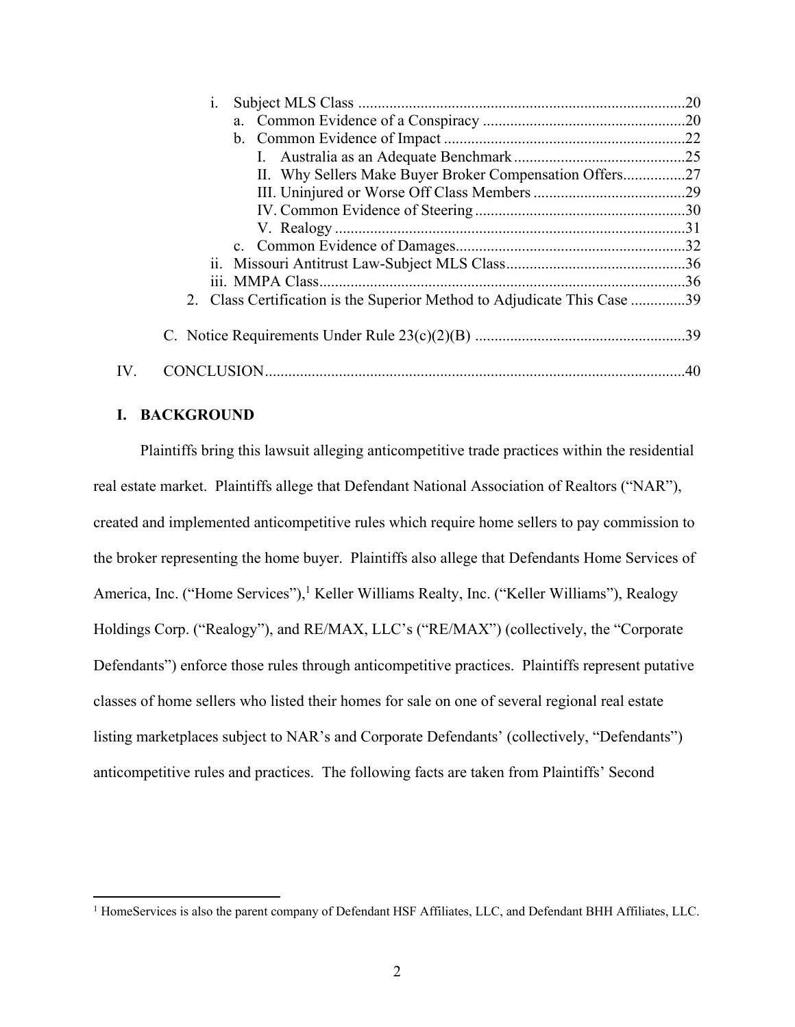| 1.                                                                       |  |
|--------------------------------------------------------------------------|--|
|                                                                          |  |
|                                                                          |  |
|                                                                          |  |
| II. Why Sellers Make Buyer Broker Compensation Offers27                  |  |
|                                                                          |  |
|                                                                          |  |
|                                                                          |  |
|                                                                          |  |
|                                                                          |  |
|                                                                          |  |
| 2. Class Certification is the Superior Method to Adjudicate This Case 39 |  |
|                                                                          |  |
|                                                                          |  |

## **I. BACKGROUND**

Plaintiffs bring this lawsuit alleging anticompetitive trade practices within the residential real estate market. Plaintiffs allege that Defendant National Association of Realtors ("NAR"), created and implemented anticompetitive rules which require home sellers to pay commission to the broker representing the home buyer. Plaintiffs also allege that Defendants Home Services of America, Inc. ("Home Services"),<sup>1</sup> Keller Williams Realty, Inc. ("Keller Williams"), Realogy Holdings Corp. ("Realogy"), and RE/MAX, LLC's ("RE/MAX") (collectively, the "Corporate Defendants") enforce those rules through anticompetitive practices. Plaintiffs represent putative classes of home sellers who listed their homes for sale on one of several regional real estate listing marketplaces subject to NAR's and Corporate Defendants' (collectively, "Defendants") anticompetitive rules and practices. The following facts are taken from Plaintiffs' Second

<sup>&</sup>lt;sup>1</sup> HomeServices is also the parent company of Defendant HSF Affiliates, LLC, and Defendant BHH Affiliates, LLC.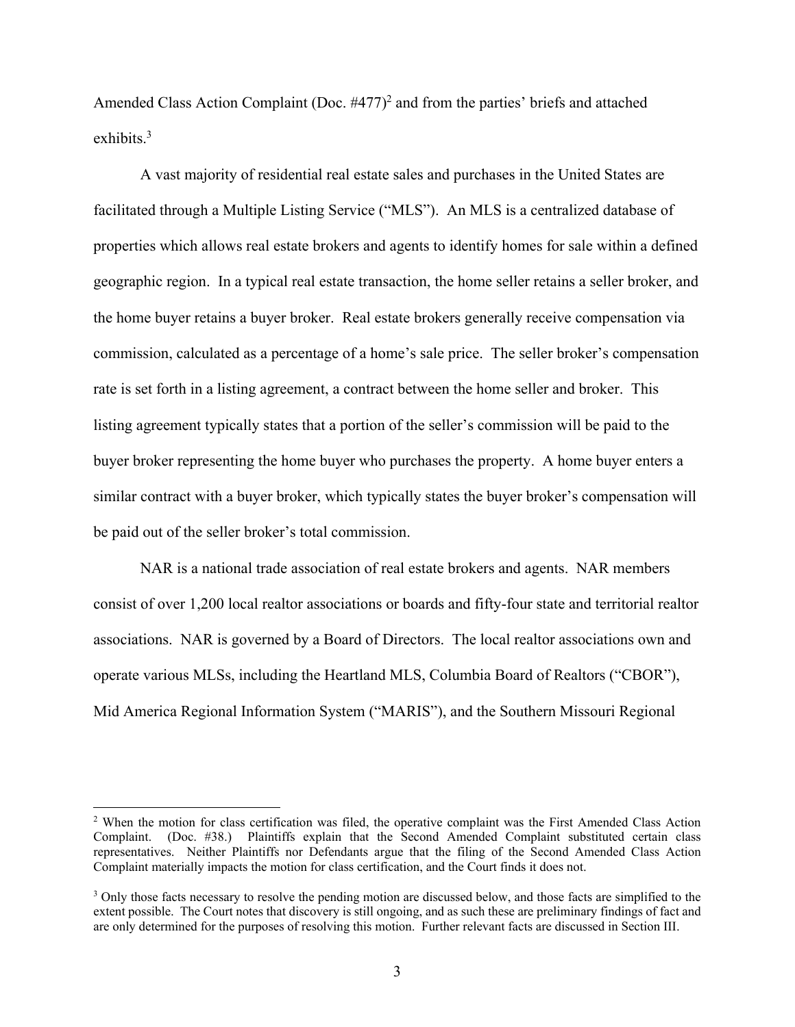Amended Class Action Complaint (Doc.  $#477$ )<sup>2</sup> and from the parties' briefs and attached exhibits  $3$ 

A vast majority of residential real estate sales and purchases in the United States are facilitated through a Multiple Listing Service ("MLS"). An MLS is a centralized database of properties which allows real estate brokers and agents to identify homes for sale within a defined geographic region. In a typical real estate transaction, the home seller retains a seller broker, and the home buyer retains a buyer broker. Real estate brokers generally receive compensation via commission, calculated as a percentage of a home's sale price. The seller broker's compensation rate is set forth in a listing agreement, a contract between the home seller and broker. This listing agreement typically states that a portion of the seller's commission will be paid to the buyer broker representing the home buyer who purchases the property. A home buyer enters a similar contract with a buyer broker, which typically states the buyer broker's compensation will be paid out of the seller broker's total commission.

NAR is a national trade association of real estate brokers and agents. NAR members consist of over 1,200 local realtor associations or boards and fifty-four state and territorial realtor associations. NAR is governed by a Board of Directors. The local realtor associations own and operate various MLSs, including the Heartland MLS, Columbia Board of Realtors ("CBOR"), Mid America Regional Information System ("MARIS"), and the Southern Missouri Regional

<sup>&</sup>lt;sup>2</sup> When the motion for class certification was filed, the operative complaint was the First Amended Class Action Complaint. (Doc. #38.) Plaintiffs explain that the Second Amended Complaint substituted certain class representatives. Neither Plaintiffs nor Defendants argue that the filing of the Second Amended Class Action Complaint materially impacts the motion for class certification, and the Court finds it does not.

<sup>&</sup>lt;sup>3</sup> Only those facts necessary to resolve the pending motion are discussed below, and those facts are simplified to the extent possible. The Court notes that discovery is still ongoing, and as such these are preliminary findings of fact and are only determined for the purposes of resolving this motion. Further relevant facts are discussed in Section III.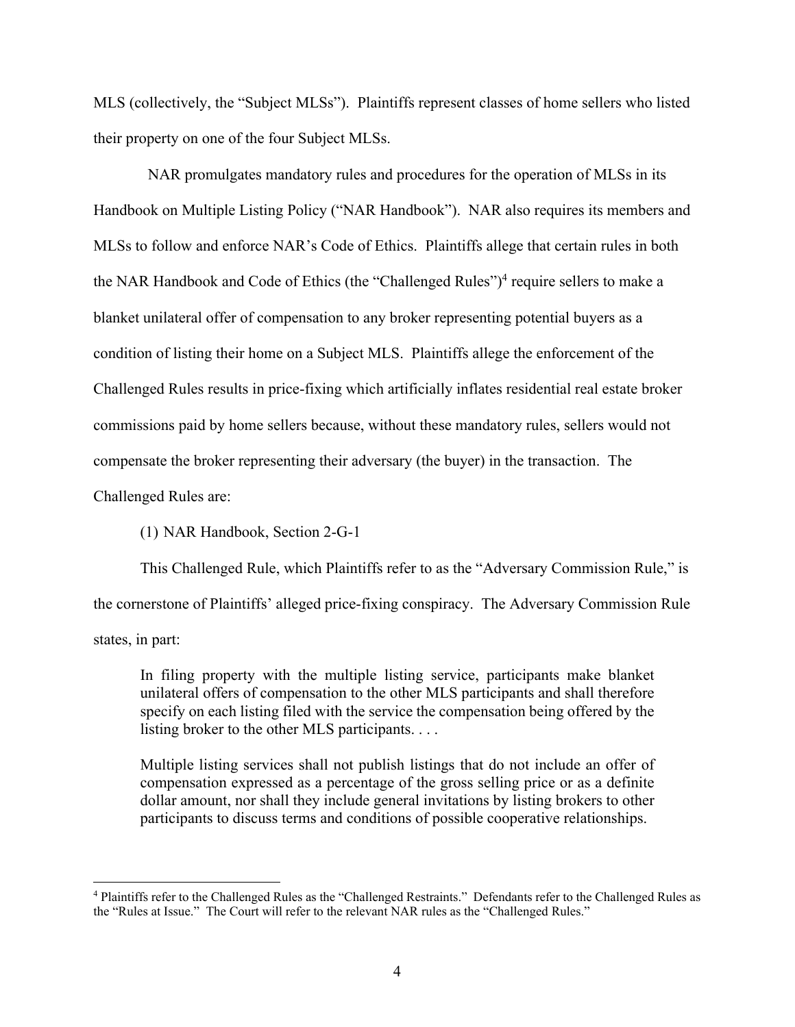MLS (collectively, the "Subject MLSs"). Plaintiffs represent classes of home sellers who listed their property on one of the four Subject MLSs.

 NAR promulgates mandatory rules and procedures for the operation of MLSs in its Handbook on Multiple Listing Policy ("NAR Handbook"). NAR also requires its members and MLSs to follow and enforce NAR's Code of Ethics. Plaintiffs allege that certain rules in both the NAR Handbook and Code of Ethics (the "Challenged Rules")<sup>4</sup> require sellers to make a blanket unilateral offer of compensation to any broker representing potential buyers as a condition of listing their home on a Subject MLS. Plaintiffs allege the enforcement of the Challenged Rules results in price-fixing which artificially inflates residential real estate broker commissions paid by home sellers because, without these mandatory rules, sellers would not compensate the broker representing their adversary (the buyer) in the transaction. The Challenged Rules are:

(1) NAR Handbook, Section 2-G-1

This Challenged Rule, which Plaintiffs refer to as the "Adversary Commission Rule," is the cornerstone of Plaintiffs' alleged price-fixing conspiracy. The Adversary Commission Rule states, in part:

In filing property with the multiple listing service, participants make blanket unilateral offers of compensation to the other MLS participants and shall therefore specify on each listing filed with the service the compensation being offered by the listing broker to the other MLS participants. . . .

Multiple listing services shall not publish listings that do not include an offer of compensation expressed as a percentage of the gross selling price or as a definite dollar amount, nor shall they include general invitations by listing brokers to other participants to discuss terms and conditions of possible cooperative relationships.

<sup>&</sup>lt;sup>4</sup> Plaintiffs refer to the Challenged Rules as the "Challenged Restraints." Defendants refer to the Challenged Rules as the "Rules at Issue." The Court will refer to the relevant NAR rules as the "Challenged Rules."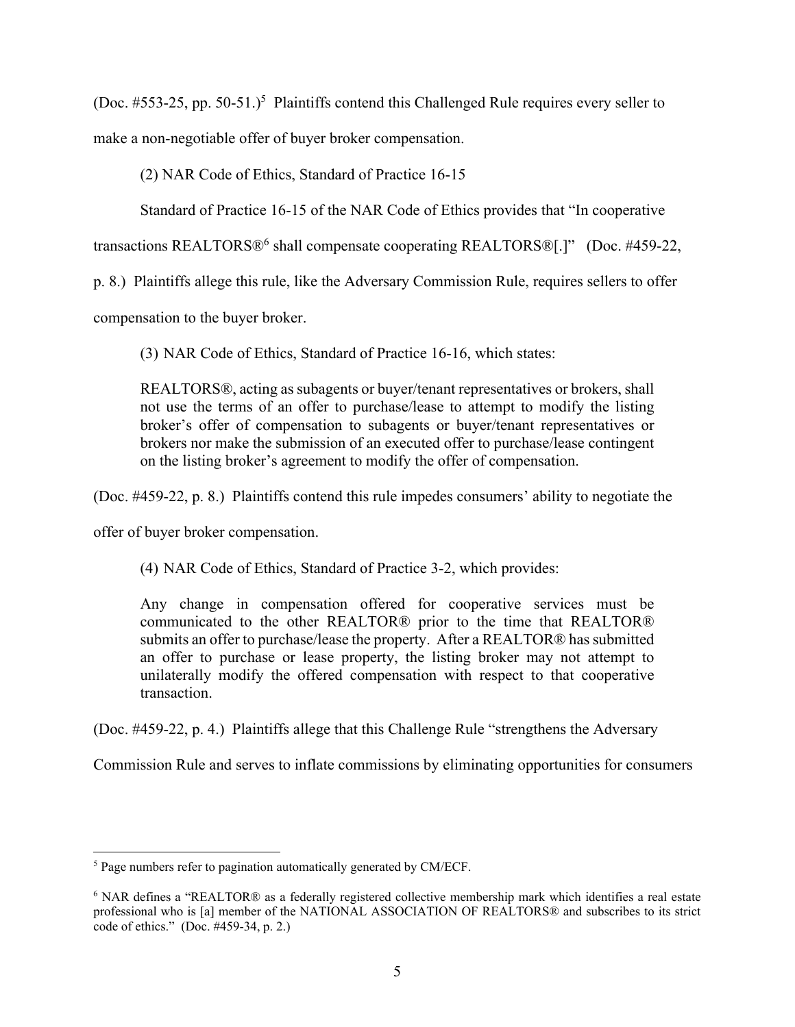(Doc.  $\#553-25$ , pp. 50-51.)<sup>5</sup> Plaintiffs contend this Challenged Rule requires every seller to

make a non-negotiable offer of buyer broker compensation.

(2) NAR Code of Ethics, Standard of Practice 16-15

Standard of Practice 16-15 of the NAR Code of Ethics provides that "In cooperative

transactions REALTORS®<sup>6</sup> shall compensate cooperating REALTORS®[.]" (Doc. #459-22,

p. 8.) Plaintiffs allege this rule, like the Adversary Commission Rule, requires sellers to offer

compensation to the buyer broker.

(3) NAR Code of Ethics, Standard of Practice 16-16, which states:

REALTORS®, acting as subagents or buyer/tenant representatives or brokers, shall not use the terms of an offer to purchase/lease to attempt to modify the listing broker's offer of compensation to subagents or buyer/tenant representatives or brokers nor make the submission of an executed offer to purchase/lease contingent on the listing broker's agreement to modify the offer of compensation.

(Doc. #459-22, p. 8.) Plaintiffs contend this rule impedes consumers' ability to negotiate the

offer of buyer broker compensation.

(4) NAR Code of Ethics, Standard of Practice 3-2, which provides:

Any change in compensation offered for cooperative services must be communicated to the other REALTOR® prior to the time that REALTOR® submits an offer to purchase/lease the property. After a REALTOR® has submitted an offer to purchase or lease property, the listing broker may not attempt to unilaterally modify the offered compensation with respect to that cooperative transaction.

(Doc. #459-22, p. 4.) Plaintiffs allege that this Challenge Rule "strengthens the Adversary

Commission Rule and serves to inflate commissions by eliminating opportunities for consumers

 $<sup>5</sup>$  Page numbers refer to pagination automatically generated by CM/ECF.</sup>

<sup>&</sup>lt;sup>6</sup> NAR defines a "REALTOR® as a federally registered collective membership mark which identifies a real estate professional who is [a] member of the NATIONAL ASSOCIATION OF REALTORS® and subscribes to its strict code of ethics." (Doc. #459-34, p. 2.)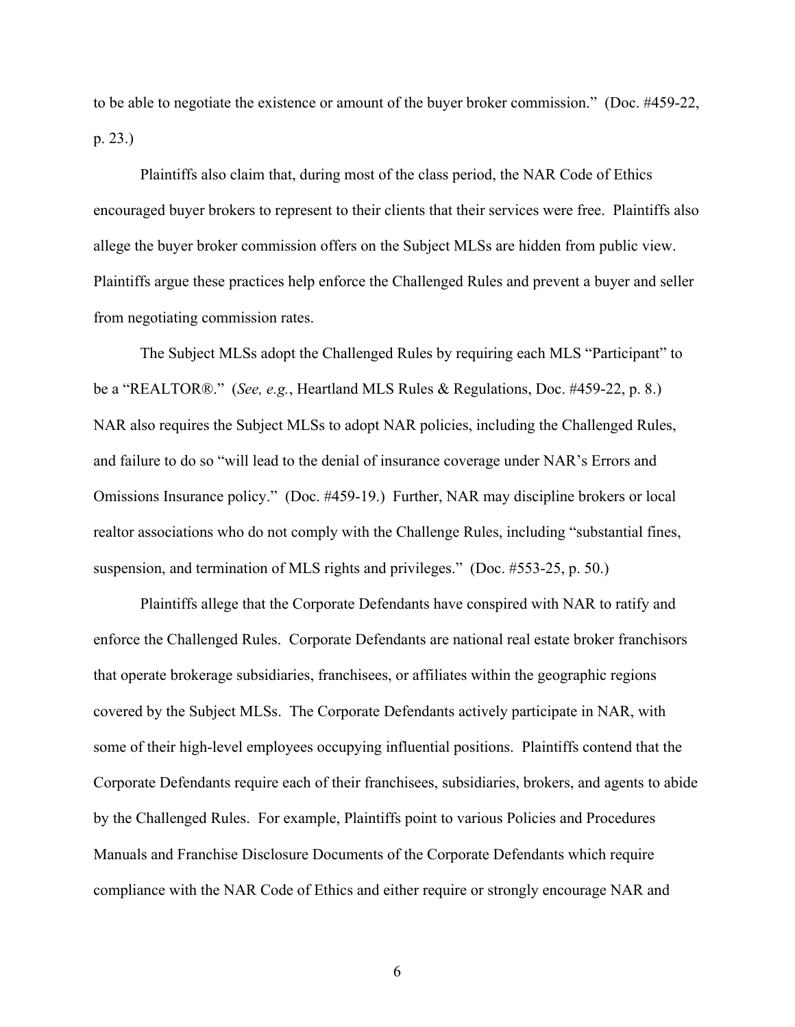to be able to negotiate the existence or amount of the buyer broker commission." (Doc. #459-22, p. 23.)

Plaintiffs also claim that, during most of the class period, the NAR Code of Ethics encouraged buyer brokers to represent to their clients that their services were free. Plaintiffs also allege the buyer broker commission offers on the Subject MLSs are hidden from public view. Plaintiffs argue these practices help enforce the Challenged Rules and prevent a buyer and seller from negotiating commission rates.

The Subject MLSs adopt the Challenged Rules by requiring each MLS "Participant" to be a "REALTOR®." (*See, e.g.*, Heartland MLS Rules & Regulations, Doc. #459-22, p. 8.) NAR also requires the Subject MLSs to adopt NAR policies, including the Challenged Rules, and failure to do so "will lead to the denial of insurance coverage under NAR's Errors and Omissions Insurance policy." (Doc. #459-19.) Further, NAR may discipline brokers or local realtor associations who do not comply with the Challenge Rules, including "substantial fines, suspension, and termination of MLS rights and privileges." (Doc. #553-25, p. 50.)

Plaintiffs allege that the Corporate Defendants have conspired with NAR to ratify and enforce the Challenged Rules. Corporate Defendants are national real estate broker franchisors that operate brokerage subsidiaries, franchisees, or affiliates within the geographic regions covered by the Subject MLSs. The Corporate Defendants actively participate in NAR, with some of their high-level employees occupying influential positions. Plaintiffs contend that the Corporate Defendants require each of their franchisees, subsidiaries, brokers, and agents to abide by the Challenged Rules. For example, Plaintiffs point to various Policies and Procedures Manuals and Franchise Disclosure Documents of the Corporate Defendants which require compliance with the NAR Code of Ethics and either require or strongly encourage NAR and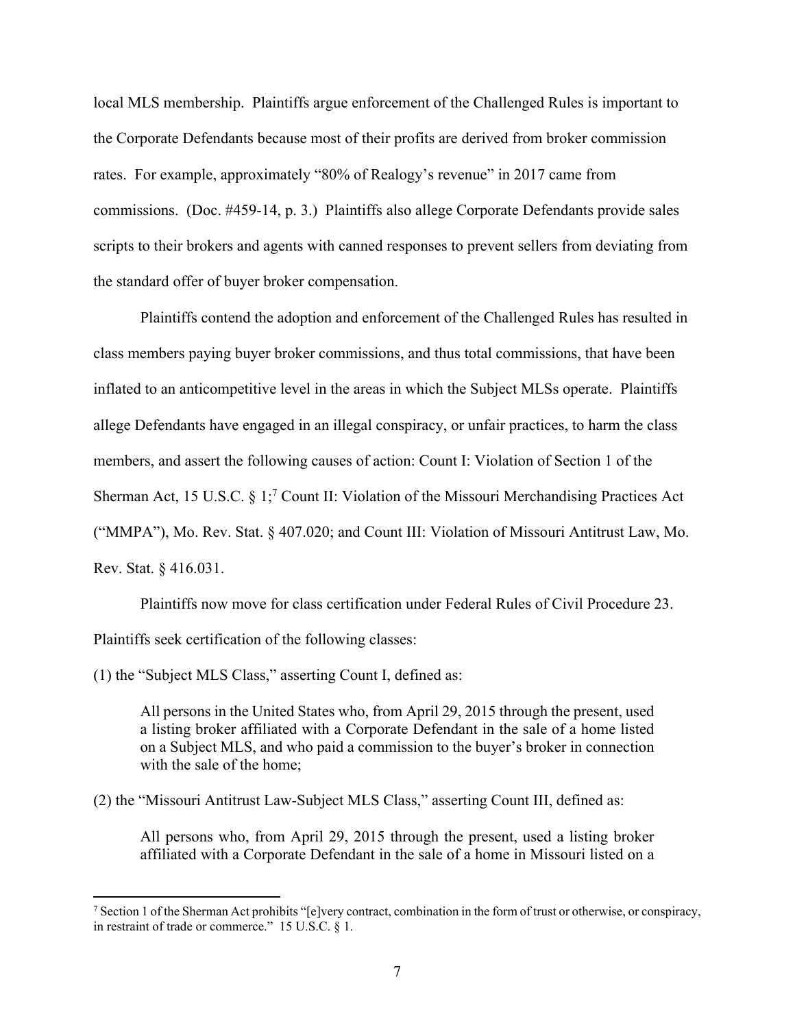local MLS membership. Plaintiffs argue enforcement of the Challenged Rules is important to the Corporate Defendants because most of their profits are derived from broker commission rates. For example, approximately "80% of Realogy's revenue" in 2017 came from commissions. (Doc. #459-14, p. 3.) Plaintiffs also allege Corporate Defendants provide sales scripts to their brokers and agents with canned responses to prevent sellers from deviating from the standard offer of buyer broker compensation.

Plaintiffs contend the adoption and enforcement of the Challenged Rules has resulted in class members paying buyer broker commissions, and thus total commissions, that have been inflated to an anticompetitive level in the areas in which the Subject MLSs operate. Plaintiffs allege Defendants have engaged in an illegal conspiracy, or unfair practices, to harm the class members, and assert the following causes of action: Count I: Violation of Section 1 of the Sherman Act, 15 U.S.C. § 1;<sup>7</sup> Count II: Violation of the Missouri Merchandising Practices Act ("MMPA"), Mo. Rev. Stat. § 407.020; and Count III: Violation of Missouri Antitrust Law, Mo. Rev. Stat. § 416.031.

 Plaintiffs now move for class certification under Federal Rules of Civil Procedure 23. Plaintiffs seek certification of the following classes:

(1) the "Subject MLS Class," asserting Count I, defined as:

All persons in the United States who, from April 29, 2015 through the present, used a listing broker affiliated with a Corporate Defendant in the sale of a home listed on a Subject MLS, and who paid a commission to the buyer's broker in connection with the sale of the home;

(2) the "Missouri Antitrust Law-Subject MLS Class," asserting Count III, defined as:

All persons who, from April 29, 2015 through the present, used a listing broker affiliated with a Corporate Defendant in the sale of a home in Missouri listed on a

<sup>&</sup>lt;sup>7</sup> Section 1 of the Sherman Act prohibits "[e]very contract, combination in the form of trust or otherwise, or conspiracy, in restraint of trade or commerce." 15 U.S.C. § 1.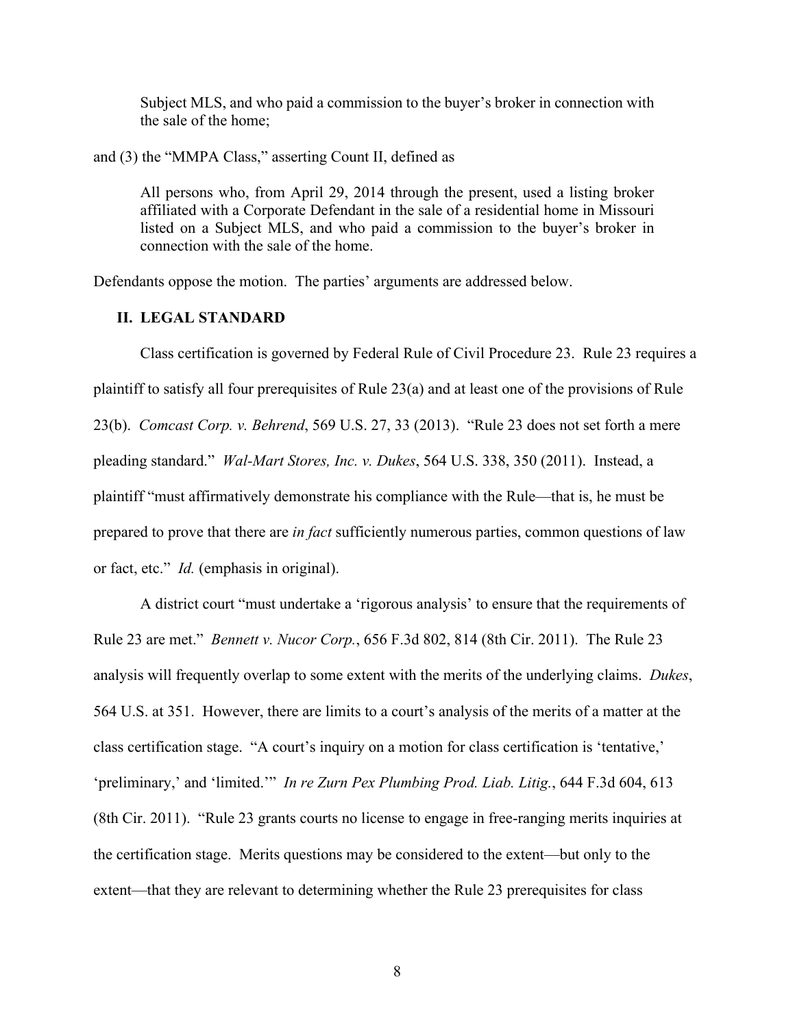Subject MLS, and who paid a commission to the buyer's broker in connection with the sale of the home;

and (3) the "MMPA Class," asserting Count II, defined as

All persons who, from April 29, 2014 through the present, used a listing broker affiliated with a Corporate Defendant in the sale of a residential home in Missouri listed on a Subject MLS, and who paid a commission to the buyer's broker in connection with the sale of the home.

Defendants oppose the motion. The parties' arguments are addressed below.

## **II. LEGAL STANDARD**

Class certification is governed by Federal Rule of Civil Procedure 23. Rule 23 requires a plaintiff to satisfy all four prerequisites of Rule 23(a) and at least one of the provisions of Rule 23(b). *Comcast Corp. v. Behrend*, 569 U.S. 27, 33 (2013). "Rule 23 does not set forth a mere pleading standard." *Wal-Mart Stores, Inc. v. Dukes*, 564 U.S. 338, 350 (2011). Instead, a plaintiff "must affirmatively demonstrate his compliance with the Rule—that is, he must be prepared to prove that there are *in fact* sufficiently numerous parties, common questions of law or fact, etc." *Id.* (emphasis in original).

A district court "must undertake a 'rigorous analysis' to ensure that the requirements of Rule 23 are met." *Bennett v. Nucor Corp.*, 656 F.3d 802, 814 (8th Cir. 2011). The Rule 23 analysis will frequently overlap to some extent with the merits of the underlying claims. *Dukes*, 564 U.S. at 351. However, there are limits to a court's analysis of the merits of a matter at the class certification stage. "A court's inquiry on a motion for class certification is 'tentative,' 'preliminary,' and 'limited.'" *In re Zurn Pex Plumbing Prod. Liab. Litig.*, 644 F.3d 604, 613 (8th Cir. 2011). "Rule 23 grants courts no license to engage in free-ranging merits inquiries at the certification stage. Merits questions may be considered to the extent—but only to the extent—that they are relevant to determining whether the Rule 23 prerequisites for class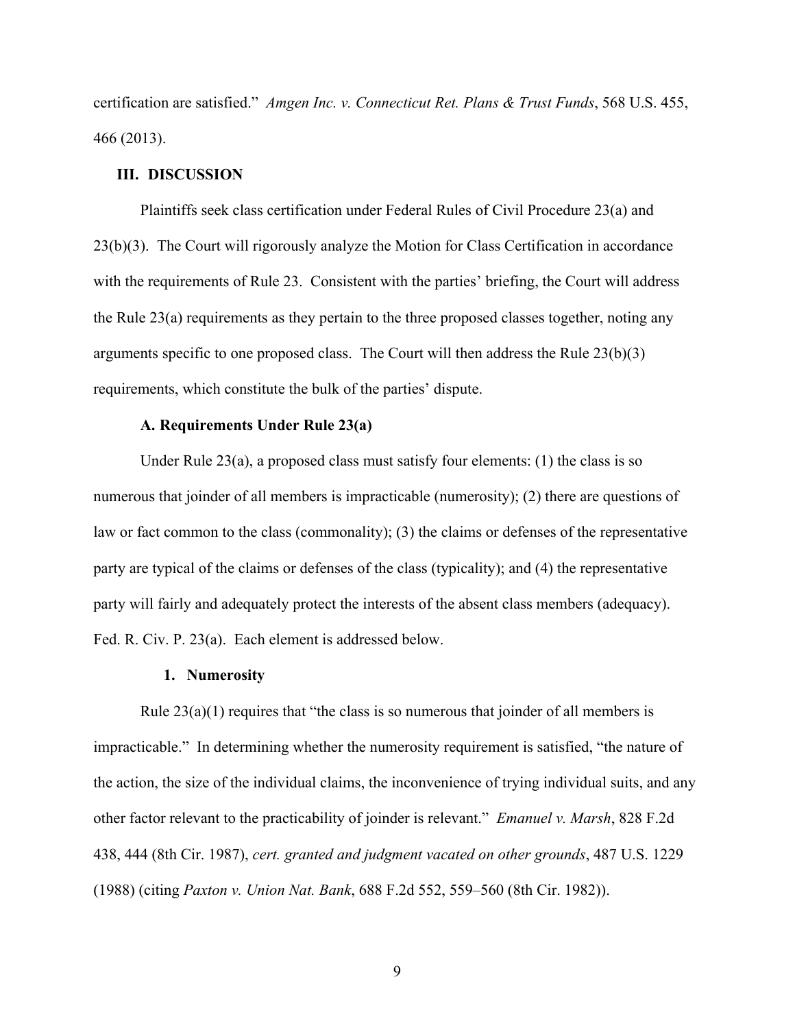certification are satisfied." *Amgen Inc. v. Connecticut Ret. Plans & Trust Funds*, 568 U.S. 455, 466 (2013).

### **III. DISCUSSION**

Plaintiffs seek class certification under Federal Rules of Civil Procedure 23(a) and 23(b)(3). The Court will rigorously analyze the Motion for Class Certification in accordance with the requirements of Rule 23. Consistent with the parties' briefing, the Court will address the Rule 23(a) requirements as they pertain to the three proposed classes together, noting any arguments specific to one proposed class. The Court will then address the Rule 23(b)(3) requirements, which constitute the bulk of the parties' dispute.

#### **A. Requirements Under Rule 23(a)**

Under Rule 23(a), a proposed class must satisfy four elements: (1) the class is so numerous that joinder of all members is impracticable (numerosity); (2) there are questions of law or fact common to the class (commonality); (3) the claims or defenses of the representative party are typical of the claims or defenses of the class (typicality); and (4) the representative party will fairly and adequately protect the interests of the absent class members (adequacy). Fed. R. Civ. P. 23(a). Each element is addressed below.

### **1. Numerosity**

Rule  $23(a)(1)$  requires that "the class is so numerous that joinder of all members is impracticable." In determining whether the numerosity requirement is satisfied, "the nature of the action, the size of the individual claims, the inconvenience of trying individual suits, and any other factor relevant to the practicability of joinder is relevant." *Emanuel v. Marsh*, 828 F.2d 438, 444 (8th Cir. 1987), *cert. granted and judgment vacated on other grounds*, 487 U.S. 1229 (1988) (citing *Paxton v. Union Nat. Bank*, 688 F.2d 552, 559–560 (8th Cir. 1982)).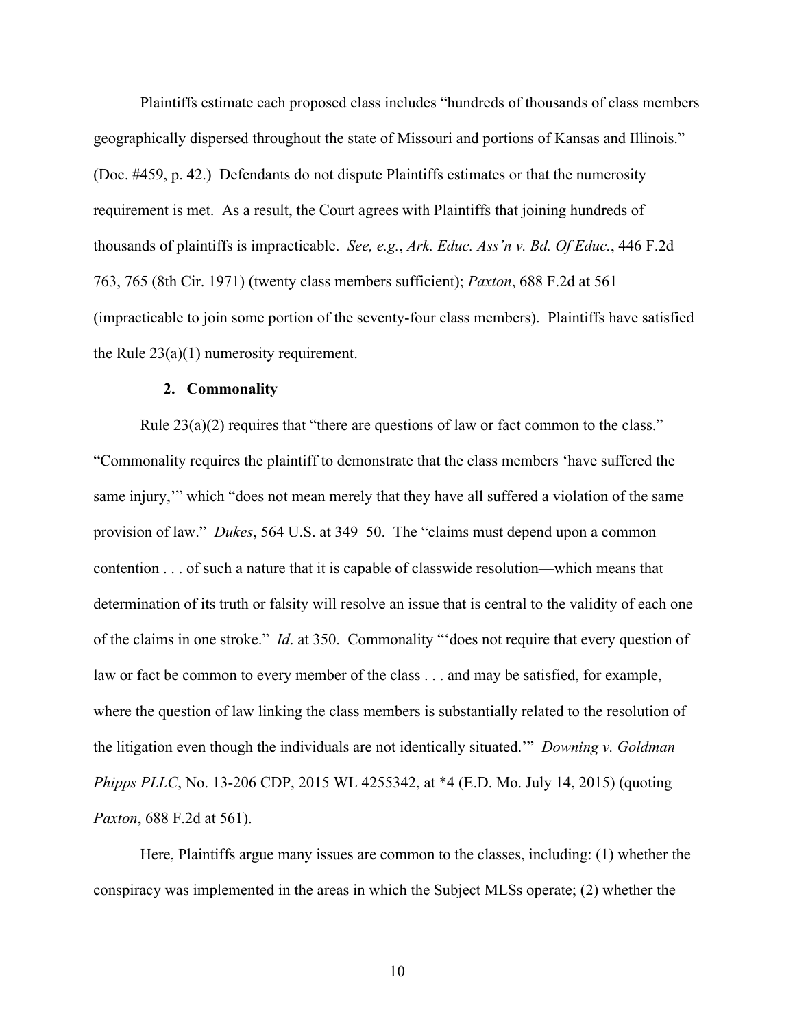Plaintiffs estimate each proposed class includes "hundreds of thousands of class members geographically dispersed throughout the state of Missouri and portions of Kansas and Illinois." (Doc. #459, p. 42.) Defendants do not dispute Plaintiffs estimates or that the numerosity requirement is met. As a result, the Court agrees with Plaintiffs that joining hundreds of thousands of plaintiffs is impracticable. *See, e.g.*, *Ark. Educ. Ass'n v. Bd. Of Educ.*, 446 F.2d 763, 765 (8th Cir. 1971) (twenty class members sufficient); *Paxton*, 688 F.2d at 561 (impracticable to join some portion of the seventy-four class members). Plaintiffs have satisfied the Rule  $23(a)(1)$  numerosity requirement.

#### **2. Commonality**

Rule  $23(a)(2)$  requires that "there are questions of law or fact common to the class." "Commonality requires the plaintiff to demonstrate that the class members 'have suffered the same injury,'" which "does not mean merely that they have all suffered a violation of the same provision of law." *Dukes*, 564 U.S. at 349–50. The "claims must depend upon a common contention . . . of such a nature that it is capable of classwide resolution—which means that determination of its truth or falsity will resolve an issue that is central to the validity of each one of the claims in one stroke." *Id*. at 350. Commonality "'does not require that every question of law or fact be common to every member of the class . . . and may be satisfied, for example, where the question of law linking the class members is substantially related to the resolution of the litigation even though the individuals are not identically situated.'" *Downing v. Goldman Phipps PLLC*, No. 13-206 CDP, 2015 WL 4255342, at \*4 (E.D. Mo. July 14, 2015) (quoting *Paxton*, 688 F.2d at 561).

Here, Plaintiffs argue many issues are common to the classes, including: (1) whether the conspiracy was implemented in the areas in which the Subject MLSs operate; (2) whether the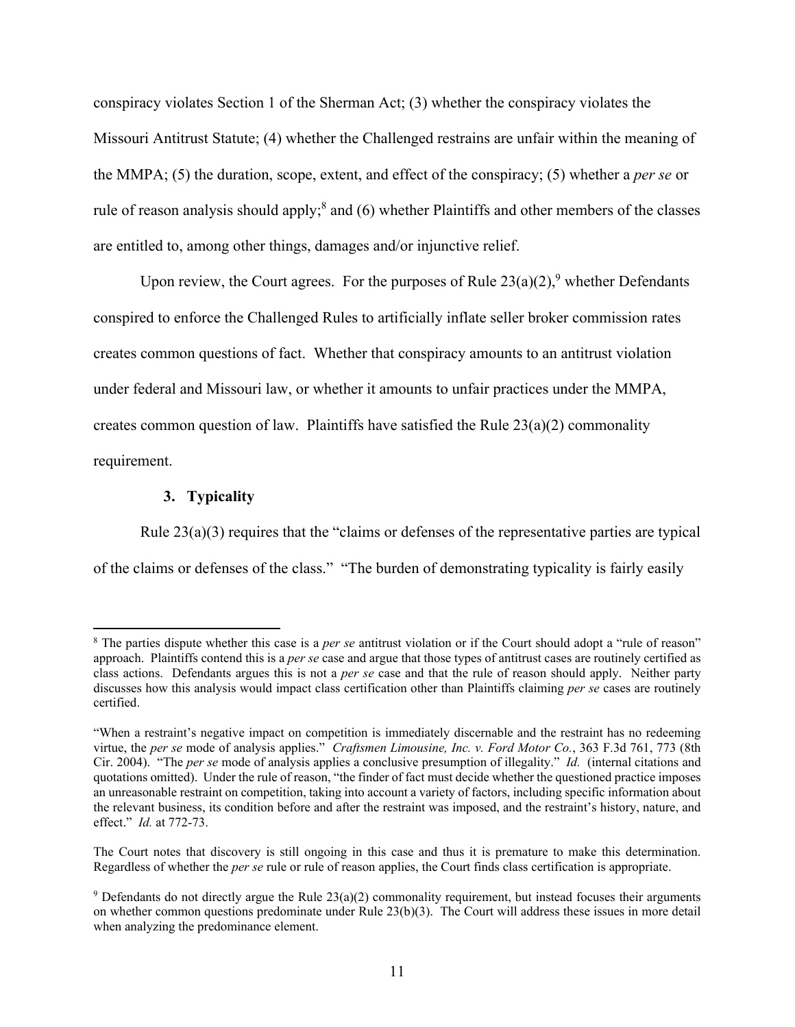conspiracy violates Section 1 of the Sherman Act; (3) whether the conspiracy violates the Missouri Antitrust Statute; (4) whether the Challenged restrains are unfair within the meaning of the MMPA; (5) the duration, scope, extent, and effect of the conspiracy; (5) whether a *per se* or rule of reason analysis should apply;<sup>8</sup> and (6) whether Plaintiffs and other members of the classes are entitled to, among other things, damages and/or injunctive relief.

Upon review, the Court agrees. For the purposes of Rule  $23(a)(2)$ , whether Defendants conspired to enforce the Challenged Rules to artificially inflate seller broker commission rates creates common questions of fact. Whether that conspiracy amounts to an antitrust violation under federal and Missouri law, or whether it amounts to unfair practices under the MMPA, creates common question of law. Plaintiffs have satisfied the Rule  $23(a)(2)$  commonality requirement.

### **3. Typicality**

Rule 23(a)(3) requires that the "claims or defenses of the representative parties are typical of the claims or defenses of the class." "The burden of demonstrating typicality is fairly easily

<sup>&</sup>lt;sup>8</sup> The parties dispute whether this case is a *per se* antitrust violation or if the Court should adopt a "rule of reason" approach. Plaintiffs contend this is a *per se* case and argue that those types of antitrust cases are routinely certified as class actions. Defendants argues this is not a *per se* case and that the rule of reason should apply. Neither party discusses how this analysis would impact class certification other than Plaintiffs claiming *per se* cases are routinely certified.

<sup>&</sup>quot;When a restraint's negative impact on competition is immediately discernable and the restraint has no redeeming virtue, the *per se* mode of analysis applies." *Craftsmen Limousine, Inc. v. Ford Motor Co.*, 363 F.3d 761, 773 (8th Cir. 2004). "The *per se* mode of analysis applies a conclusive presumption of illegality." *Id.* (internal citations and quotations omitted). Under the rule of reason, "the finder of fact must decide whether the questioned practice imposes an unreasonable restraint on competition, taking into account a variety of factors, including specific information about the relevant business, its condition before and after the restraint was imposed, and the restraint's history, nature, and effect." *Id.* at 772-73.

The Court notes that discovery is still ongoing in this case and thus it is premature to make this determination. Regardless of whether the *per se* rule or rule of reason applies, the Court finds class certification is appropriate.

<sup>&</sup>lt;sup>9</sup> Defendants do not directly argue the Rule  $23(a)(2)$  commonality requirement, but instead focuses their arguments on whether common questions predominate under Rule 23(b)(3). The Court will address these issues in more detail when analyzing the predominance element.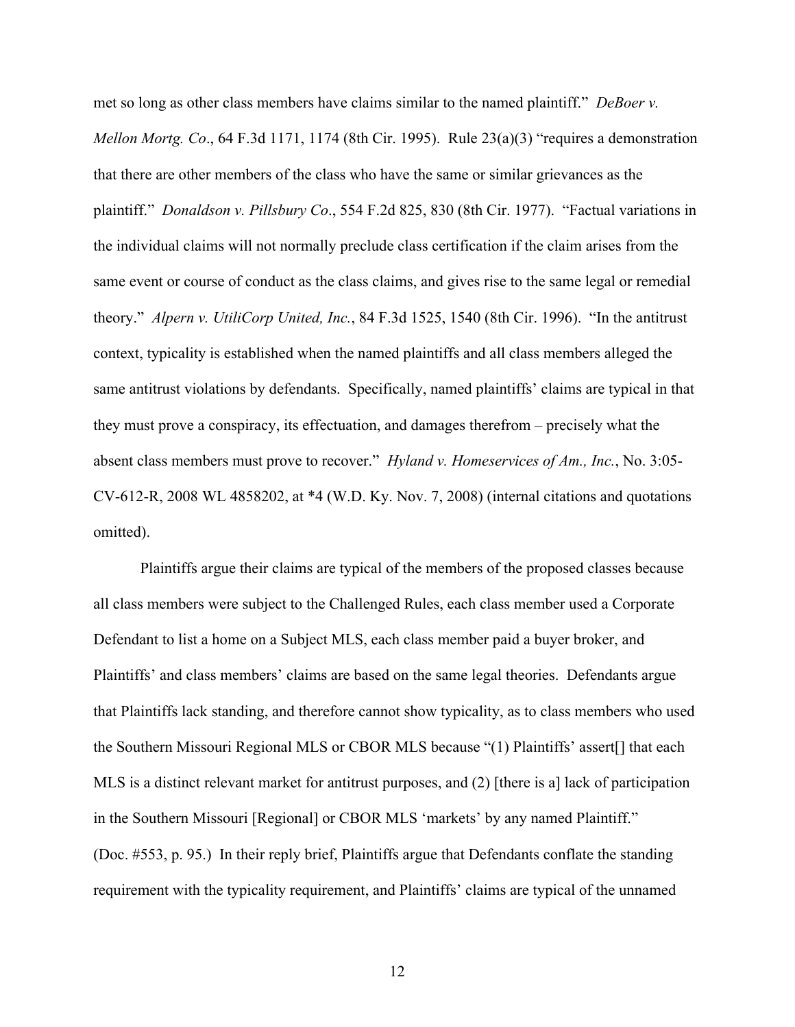met so long as other class members have claims similar to the named plaintiff." *DeBoer v. Mellon Mortg. Co*., 64 F.3d 1171, 1174 (8th Cir. 1995). Rule 23(a)(3) "requires a demonstration that there are other members of the class who have the same or similar grievances as the plaintiff." *Donaldson v. Pillsbury Co*., 554 F.2d 825, 830 (8th Cir. 1977). "Factual variations in the individual claims will not normally preclude class certification if the claim arises from the same event or course of conduct as the class claims, and gives rise to the same legal or remedial theory." *Alpern v. UtiliCorp United, Inc.*, 84 F.3d 1525, 1540 (8th Cir. 1996). "In the antitrust context, typicality is established when the named plaintiffs and all class members alleged the same antitrust violations by defendants. Specifically, named plaintiffs' claims are typical in that they must prove a conspiracy, its effectuation, and damages therefrom – precisely what the absent class members must prove to recover." *Hyland v. Homeservices of Am., Inc.*, No. 3:05- CV-612-R, 2008 WL 4858202, at \*4 (W.D. Ky. Nov. 7, 2008) (internal citations and quotations omitted).

Plaintiffs argue their claims are typical of the members of the proposed classes because all class members were subject to the Challenged Rules, each class member used a Corporate Defendant to list a home on a Subject MLS, each class member paid a buyer broker, and Plaintiffs' and class members' claims are based on the same legal theories. Defendants argue that Plaintiffs lack standing, and therefore cannot show typicality, as to class members who used the Southern Missouri Regional MLS or CBOR MLS because "(1) Plaintiffs' assert[] that each MLS is a distinct relevant market for antitrust purposes, and (2) [there is a] lack of participation in the Southern Missouri [Regional] or CBOR MLS 'markets' by any named Plaintiff." (Doc. #553, p. 95.) In their reply brief, Plaintiffs argue that Defendants conflate the standing requirement with the typicality requirement, and Plaintiffs' claims are typical of the unnamed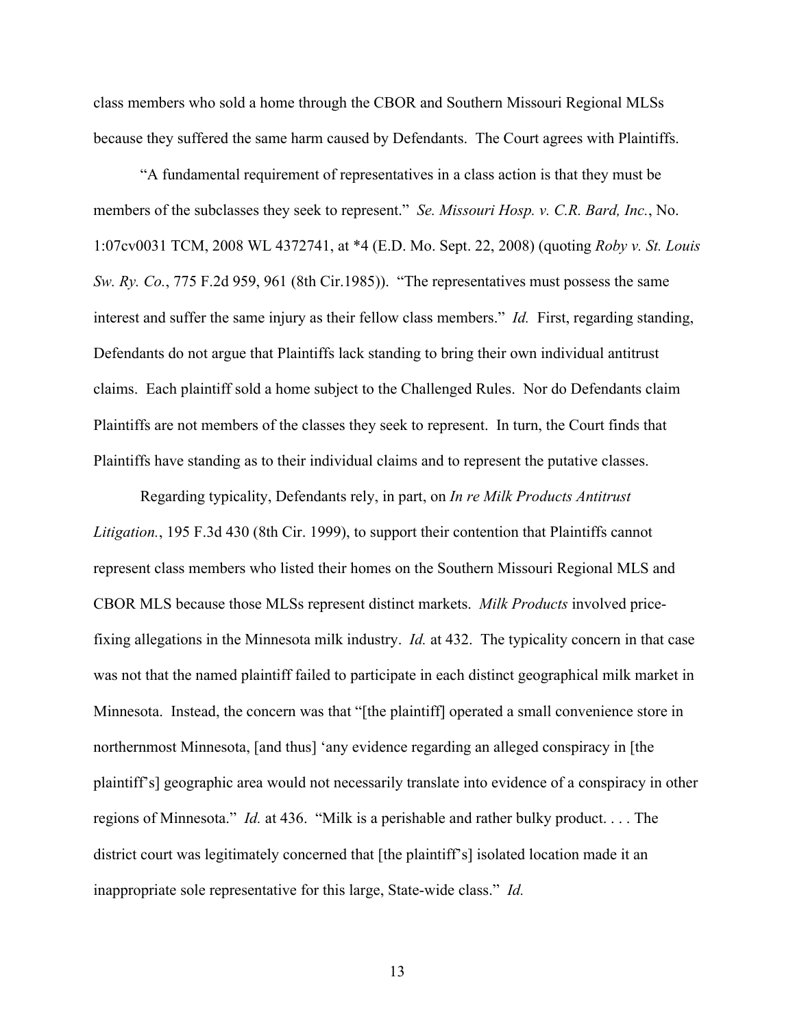class members who sold a home through the CBOR and Southern Missouri Regional MLSs because they suffered the same harm caused by Defendants. The Court agrees with Plaintiffs.

"A fundamental requirement of representatives in a class action is that they must be members of the subclasses they seek to represent." *Se. Missouri Hosp. v. C.R. Bard, Inc.*, No. 1:07cv0031 TCM, 2008 WL 4372741, at \*4 (E.D. Mo. Sept. 22, 2008) (quoting *Roby v. St. Louis Sw. Ry. Co.*, 775 F.2d 959, 961 (8th Cir.1985)). "The representatives must possess the same interest and suffer the same injury as their fellow class members." *Id.* First, regarding standing, Defendants do not argue that Plaintiffs lack standing to bring their own individual antitrust claims. Each plaintiff sold a home subject to the Challenged Rules. Nor do Defendants claim Plaintiffs are not members of the classes they seek to represent. In turn, the Court finds that Plaintiffs have standing as to their individual claims and to represent the putative classes.

Regarding typicality, Defendants rely, in part, on *In re Milk Products Antitrust Litigation.*, 195 F.3d 430 (8th Cir. 1999), to support their contention that Plaintiffs cannot represent class members who listed their homes on the Southern Missouri Regional MLS and CBOR MLS because those MLSs represent distinct markets. *Milk Products* involved pricefixing allegations in the Minnesota milk industry. *Id.* at 432. The typicality concern in that case was not that the named plaintiff failed to participate in each distinct geographical milk market in Minnesota. Instead, the concern was that "[the plaintiff] operated a small convenience store in northernmost Minnesota, [and thus] 'any evidence regarding an alleged conspiracy in [the plaintiff's] geographic area would not necessarily translate into evidence of a conspiracy in other regions of Minnesota." *Id.* at 436. "Milk is a perishable and rather bulky product. . . . The district court was legitimately concerned that [the plaintiff's] isolated location made it an inappropriate sole representative for this large, State-wide class." *Id.*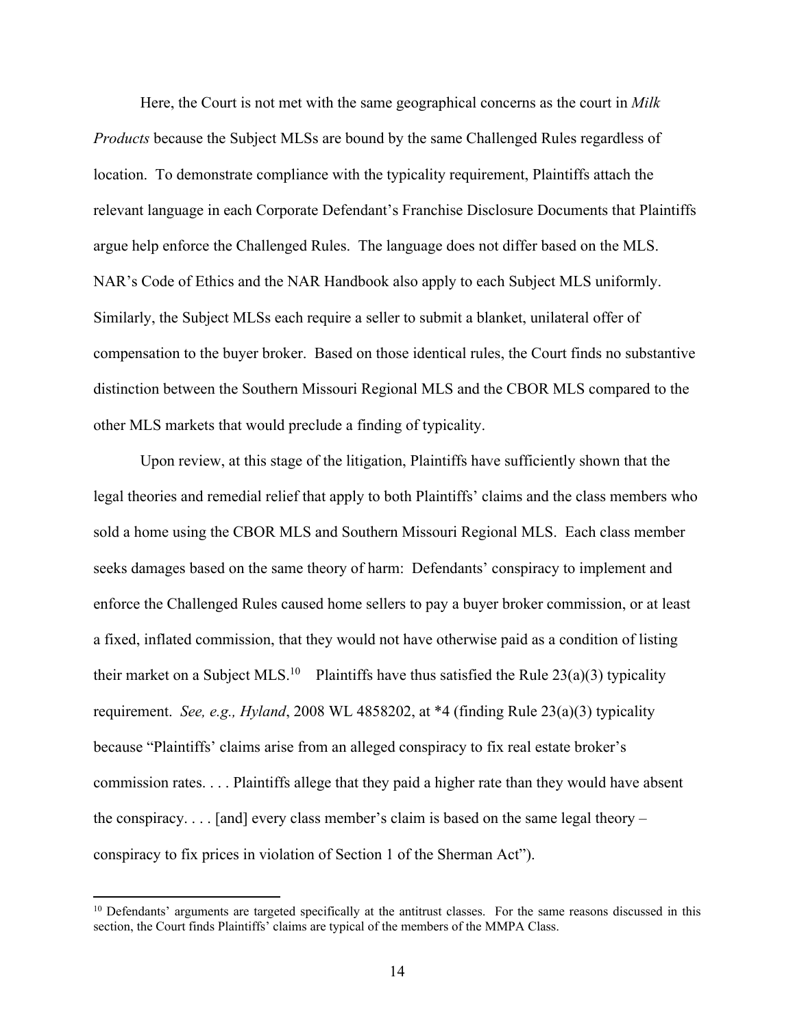Here, the Court is not met with the same geographical concerns as the court in *Milk Products* because the Subject MLSs are bound by the same Challenged Rules regardless of location. To demonstrate compliance with the typicality requirement, Plaintiffs attach the relevant language in each Corporate Defendant's Franchise Disclosure Documents that Plaintiffs argue help enforce the Challenged Rules. The language does not differ based on the MLS. NAR's Code of Ethics and the NAR Handbook also apply to each Subject MLS uniformly. Similarly, the Subject MLSs each require a seller to submit a blanket, unilateral offer of compensation to the buyer broker. Based on those identical rules, the Court finds no substantive distinction between the Southern Missouri Regional MLS and the CBOR MLS compared to the other MLS markets that would preclude a finding of typicality.

Upon review, at this stage of the litigation, Plaintiffs have sufficiently shown that the legal theories and remedial relief that apply to both Plaintiffs' claims and the class members who sold a home using the CBOR MLS and Southern Missouri Regional MLS. Each class member seeks damages based on the same theory of harm: Defendants' conspiracy to implement and enforce the Challenged Rules caused home sellers to pay a buyer broker commission, or at least a fixed, inflated commission, that they would not have otherwise paid as a condition of listing their market on a Subject MLS.<sup>10</sup> Plaintiffs have thus satisfied the Rule 23(a)(3) typicality requirement. *See, e.g., Hyland*, 2008 WL 4858202, at \*4 (finding Rule 23(a)(3) typicality because "Plaintiffs' claims arise from an alleged conspiracy to fix real estate broker's commission rates. . . . Plaintiffs allege that they paid a higher rate than they would have absent the conspiracy.  $\dots$  [and] every class member's claim is based on the same legal theory – conspiracy to fix prices in violation of Section 1 of the Sherman Act").

<sup>&</sup>lt;sup>10</sup> Defendants' arguments are targeted specifically at the antitrust classes. For the same reasons discussed in this section, the Court finds Plaintiffs' claims are typical of the members of the MMPA Class.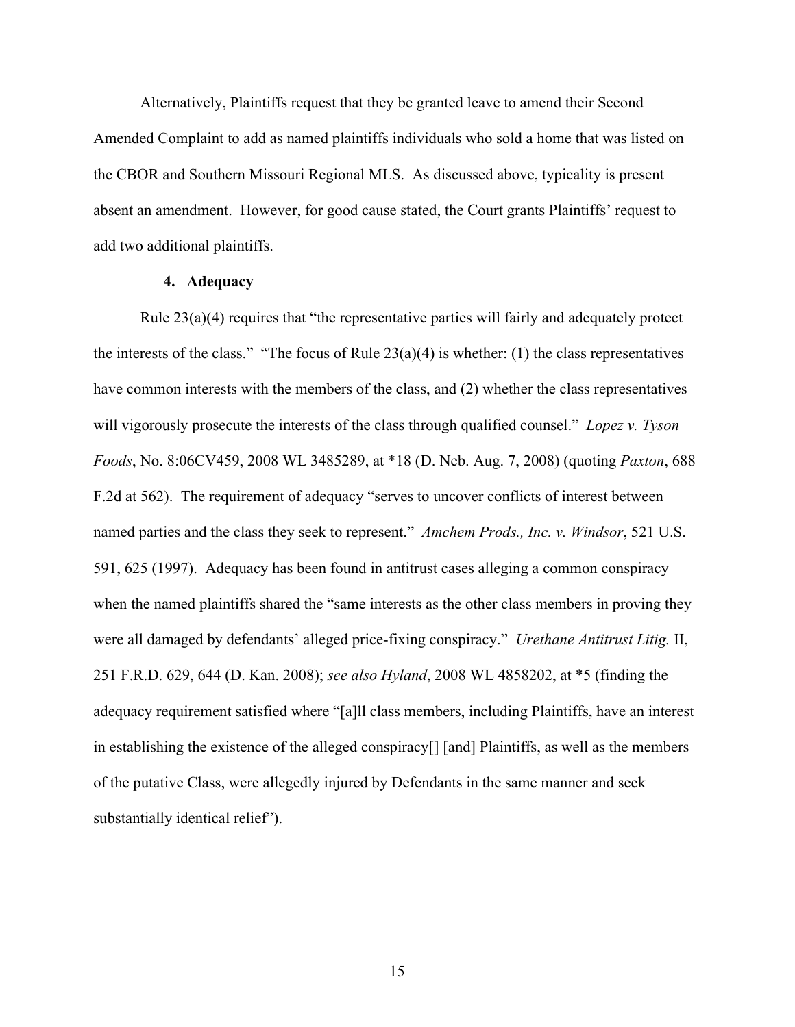Alternatively, Plaintiffs request that they be granted leave to amend their Second Amended Complaint to add as named plaintiffs individuals who sold a home that was listed on the CBOR and Southern Missouri Regional MLS. As discussed above, typicality is present absent an amendment. However, for good cause stated, the Court grants Plaintiffs' request to add two additional plaintiffs.

## **4. Adequacy**

Rule  $23(a)(4)$  requires that "the representative parties will fairly and adequately protect the interests of the class." "The focus of Rule  $23(a)(4)$  is whether: (1) the class representatives have common interests with the members of the class, and (2) whether the class representatives will vigorously prosecute the interests of the class through qualified counsel." *Lopez v. Tyson Foods*, No. 8:06CV459, 2008 WL 3485289, at \*18 (D. Neb. Aug. 7, 2008) (quoting *Paxton*, 688 F.2d at 562). The requirement of adequacy "serves to uncover conflicts of interest between named parties and the class they seek to represent." *Amchem Prods., Inc. v. Windsor*, 521 U.S. 591, 625 (1997). Adequacy has been found in antitrust cases alleging a common conspiracy when the named plaintiffs shared the "same interests as the other class members in proving they were all damaged by defendants' alleged price-fixing conspiracy." *Urethane Antitrust Litig.* II, 251 F.R.D. 629, 644 (D. Kan. 2008); *see also Hyland*, 2008 WL 4858202, at \*5 (finding the adequacy requirement satisfied where "[a]ll class members, including Plaintiffs, have an interest in establishing the existence of the alleged conspiracy[] [and] Plaintiffs, as well as the members of the putative Class, were allegedly injured by Defendants in the same manner and seek substantially identical relief").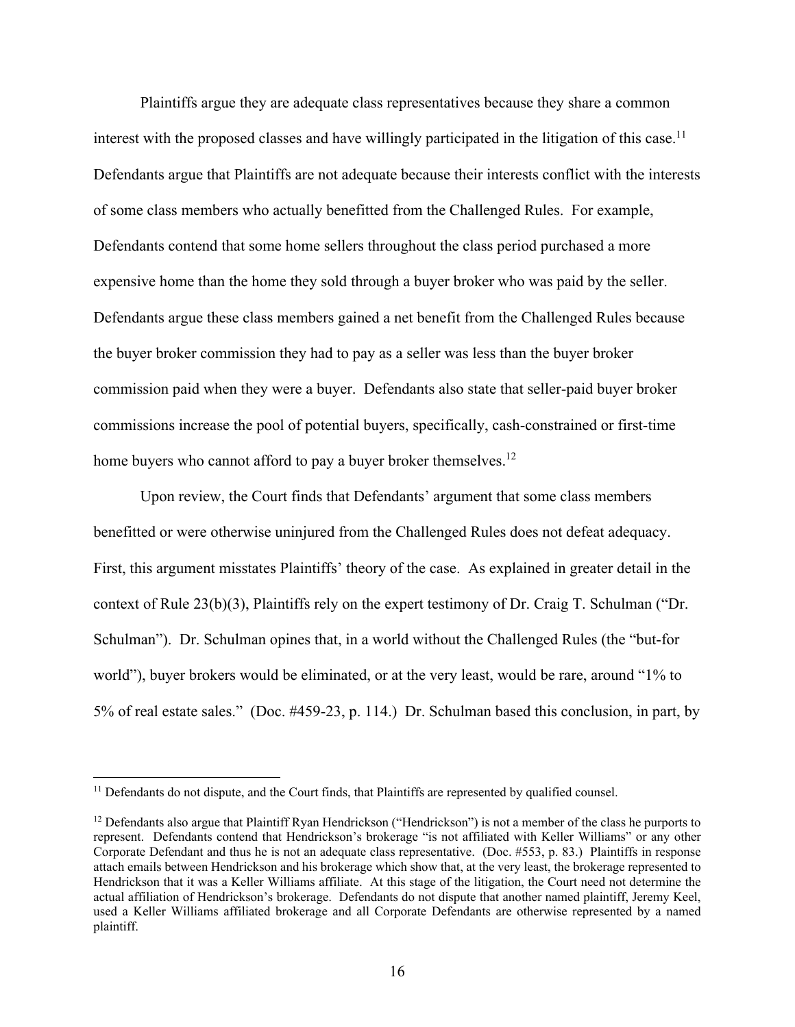Plaintiffs argue they are adequate class representatives because they share a common interest with the proposed classes and have willingly participated in the litigation of this case.<sup>11</sup> Defendants argue that Plaintiffs are not adequate because their interests conflict with the interests of some class members who actually benefitted from the Challenged Rules. For example, Defendants contend that some home sellers throughout the class period purchased a more expensive home than the home they sold through a buyer broker who was paid by the seller. Defendants argue these class members gained a net benefit from the Challenged Rules because the buyer broker commission they had to pay as a seller was less than the buyer broker commission paid when they were a buyer. Defendants also state that seller-paid buyer broker commissions increase the pool of potential buyers, specifically, cash-constrained or first-time home buyers who cannot afford to pay a buyer broker themselves.<sup>12</sup>

Upon review, the Court finds that Defendants' argument that some class members benefitted or were otherwise uninjured from the Challenged Rules does not defeat adequacy. First, this argument misstates Plaintiffs' theory of the case. As explained in greater detail in the context of Rule 23(b)(3), Plaintiffs rely on the expert testimony of Dr. Craig T. Schulman ("Dr. Schulman"). Dr. Schulman opines that, in a world without the Challenged Rules (the "but-for world"), buyer brokers would be eliminated, or at the very least, would be rare, around "1% to 5% of real estate sales." (Doc. #459-23, p. 114.) Dr. Schulman based this conclusion, in part, by

<sup>&</sup>lt;sup>11</sup> Defendants do not dispute, and the Court finds, that Plaintiffs are represented by qualified counsel.

 $12$  Defendants also argue that Plaintiff Ryan Hendrickson ("Hendrickson") is not a member of the class he purports to represent. Defendants contend that Hendrickson's brokerage "is not affiliated with Keller Williams" or any other Corporate Defendant and thus he is not an adequate class representative. (Doc. #553, p. 83.) Plaintiffs in response attach emails between Hendrickson and his brokerage which show that, at the very least, the brokerage represented to Hendrickson that it was a Keller Williams affiliate. At this stage of the litigation, the Court need not determine the actual affiliation of Hendrickson's brokerage. Defendants do not dispute that another named plaintiff, Jeremy Keel, used a Keller Williams affiliated brokerage and all Corporate Defendants are otherwise represented by a named plaintiff.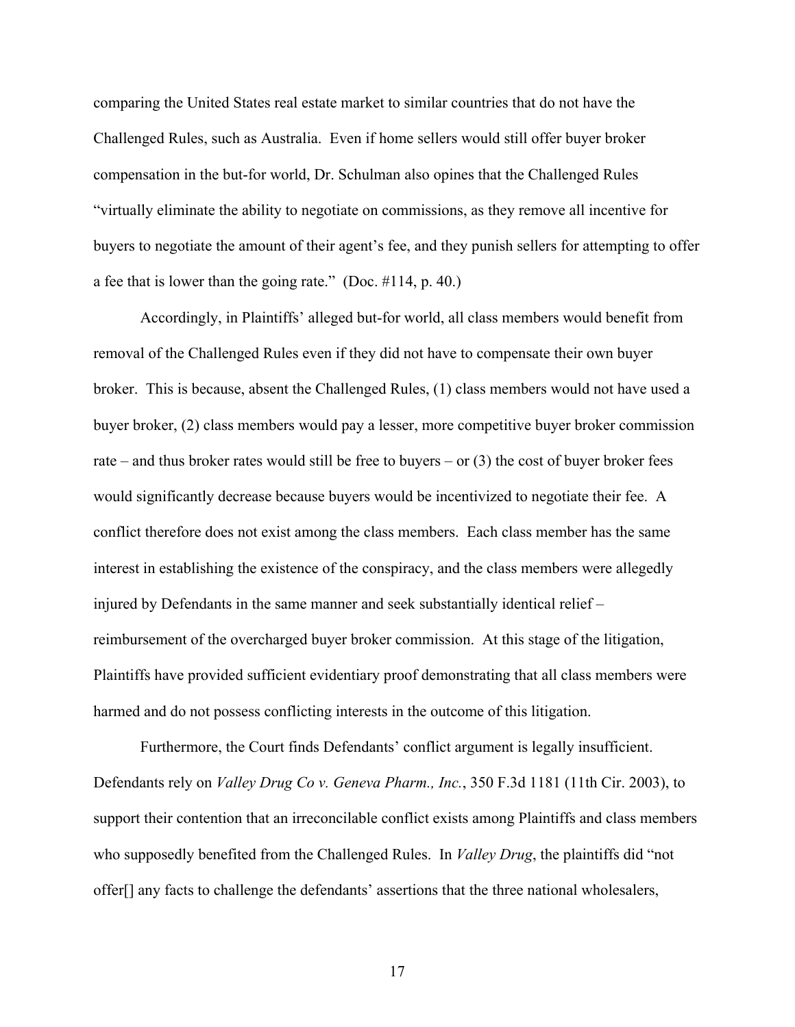comparing the United States real estate market to similar countries that do not have the Challenged Rules, such as Australia. Even if home sellers would still offer buyer broker compensation in the but-for world, Dr. Schulman also opines that the Challenged Rules "virtually eliminate the ability to negotiate on commissions, as they remove all incentive for buyers to negotiate the amount of their agent's fee, and they punish sellers for attempting to offer a fee that is lower than the going rate." (Doc. #114, p. 40.)

Accordingly, in Plaintiffs' alleged but-for world, all class members would benefit from removal of the Challenged Rules even if they did not have to compensate their own buyer broker. This is because, absent the Challenged Rules, (1) class members would not have used a buyer broker, (2) class members would pay a lesser, more competitive buyer broker commission rate – and thus broker rates would still be free to buyers – or  $(3)$  the cost of buyer broker fees would significantly decrease because buyers would be incentivized to negotiate their fee. A conflict therefore does not exist among the class members. Each class member has the same interest in establishing the existence of the conspiracy, and the class members were allegedly injured by Defendants in the same manner and seek substantially identical relief – reimbursement of the overcharged buyer broker commission. At this stage of the litigation, Plaintiffs have provided sufficient evidentiary proof demonstrating that all class members were harmed and do not possess conflicting interests in the outcome of this litigation.

Furthermore, the Court finds Defendants' conflict argument is legally insufficient. Defendants rely on *Valley Drug Co v. Geneva Pharm., Inc.*, 350 F.3d 1181 (11th Cir. 2003), to support their contention that an irreconcilable conflict exists among Plaintiffs and class members who supposedly benefited from the Challenged Rules. In *Valley Drug*, the plaintiffs did "not offer[] any facts to challenge the defendants' assertions that the three national wholesalers,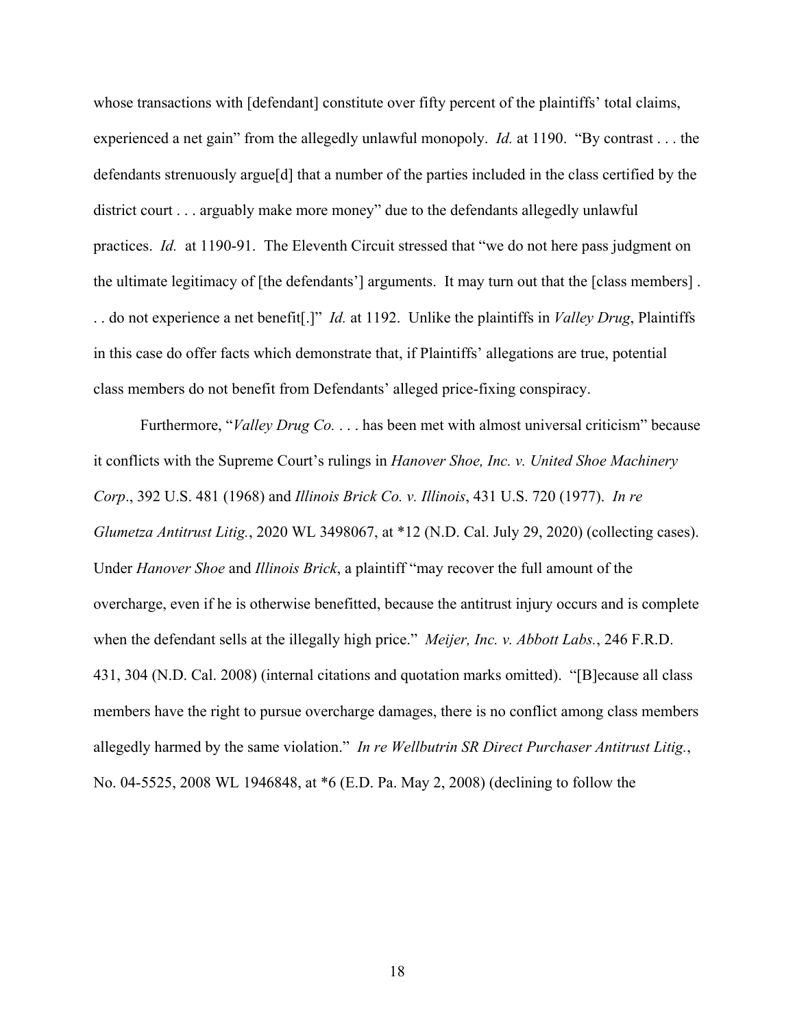whose transactions with [defendant] constitute over fifty percent of the plaintiffs' total claims, experienced a net gain" from the allegedly unlawful monopoly. *Id.* at 1190. "By contrast . . . the defendants strenuously argue[d] that a number of the parties included in the class certified by the district court . . . arguably make more money" due to the defendants allegedly unlawful practices. *Id.* at 1190-91. The Eleventh Circuit stressed that "we do not here pass judgment on the ultimate legitimacy of [the defendants'] arguments. It may turn out that the [class members] . . . do not experience a net benefit[.]" *Id.* at 1192. Unlike the plaintiffs in *Valley Drug*, Plaintiffs in this case do offer facts which demonstrate that, if Plaintiffs' allegations are true, potential class members do not benefit from Defendants' alleged price-fixing conspiracy.

Furthermore, "*Valley Drug Co.* . . . has been met with almost universal criticism" because it conflicts with the Supreme Court's rulings in *Hanover Shoe, Inc. v. United Shoe Machinery Corp*., 392 U.S. 481 (1968) and *Illinois Brick Co. v. Illinois*, 431 U.S. 720 (1977). *In re Glumetza Antitrust Litig.*, 2020 WL 3498067, at \*12 (N.D. Cal. July 29, 2020) (collecting cases). Under *Hanover Shoe* and *Illinois Brick*, a plaintiff "may recover the full amount of the overcharge, even if he is otherwise benefitted, because the antitrust injury occurs and is complete when the defendant sells at the illegally high price." *Meijer, Inc. v. Abbott Labs.*, 246 F.R.D. 431, 304 (N.D. Cal. 2008) (internal citations and quotation marks omitted). "[B]ecause all class members have the right to pursue overcharge damages, there is no conflict among class members allegedly harmed by the same violation." *In re Wellbutrin SR Direct Purchaser Antitrust Litig.*, No. 04-5525, 2008 WL 1946848, at \*6 (E.D. Pa. May 2, 2008) (declining to follow the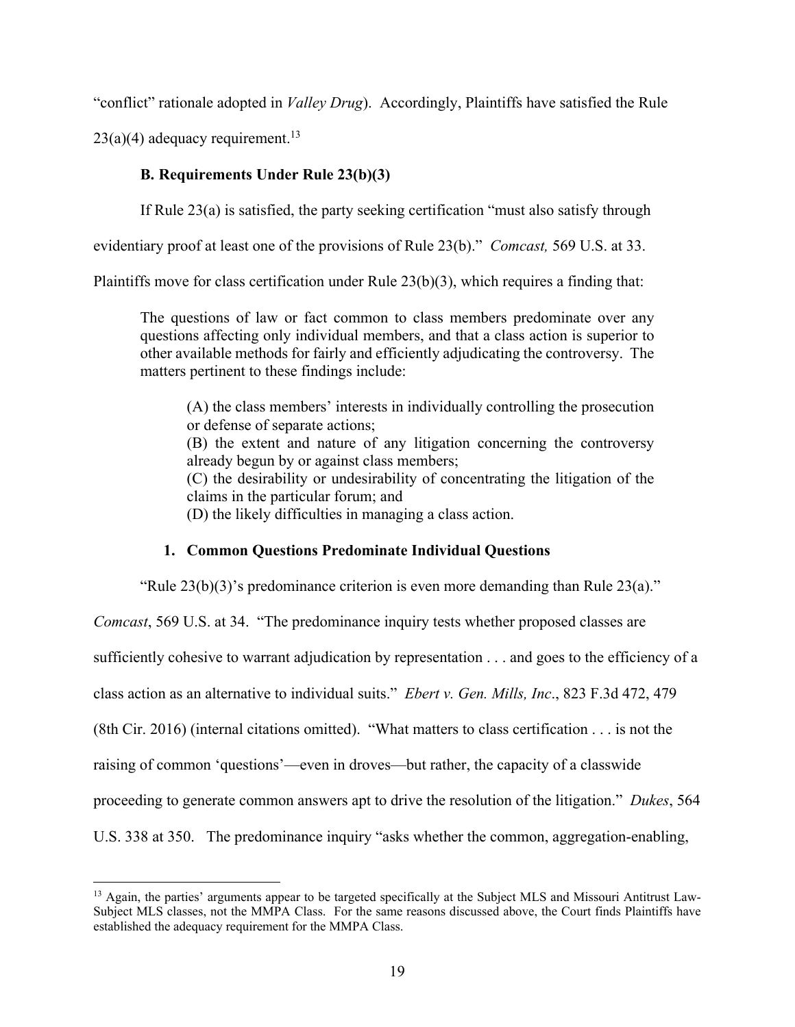"conflict" rationale adopted in *Valley Drug*). Accordingly, Plaintiffs have satisfied the Rule

 $23(a)(4)$  adequacy requirement.<sup>13</sup>

# **B. Requirements Under Rule 23(b)(3)**

If Rule 23(a) is satisfied, the party seeking certification "must also satisfy through

evidentiary proof at least one of the provisions of Rule 23(b)." *Comcast,* 569 U.S. at 33.

Plaintiffs move for class certification under Rule 23(b)(3), which requires a finding that:

The questions of law or fact common to class members predominate over any questions affecting only individual members, and that a class action is superior to other available methods for fairly and efficiently adjudicating the controversy. The matters pertinent to these findings include:

(A) the class members' interests in individually controlling the prosecution or defense of separate actions;

(B) the extent and nature of any litigation concerning the controversy already begun by or against class members;

(C) the desirability or undesirability of concentrating the litigation of the claims in the particular forum; and

(D) the likely difficulties in managing a class action.

## **1. Common Questions Predominate Individual Questions**

"Rule  $23(b)(3)$ 's predominance criterion is even more demanding than Rule  $23(a)$ ."

*Comcast*, 569 U.S. at 34. "The predominance inquiry tests whether proposed classes are sufficiently cohesive to warrant adjudication by representation . . . and goes to the efficiency of a class action as an alternative to individual suits." *Ebert v. Gen. Mills, Inc*., 823 F.3d 472, 479 (8th Cir. 2016) (internal citations omitted). "What matters to class certification . . . is not the raising of common 'questions'—even in droves—but rather, the capacity of a classwide proceeding to generate common answers apt to drive the resolution of the litigation." *Dukes*, 564 U.S. 338 at 350. The predominance inquiry "asks whether the common, aggregation-enabling,

<sup>&</sup>lt;sup>13</sup> Again, the parties' arguments appear to be targeted specifically at the Subject MLS and Missouri Antitrust Law-Subject MLS classes, not the MMPA Class. For the same reasons discussed above, the Court finds Plaintiffs have established the adequacy requirement for the MMPA Class.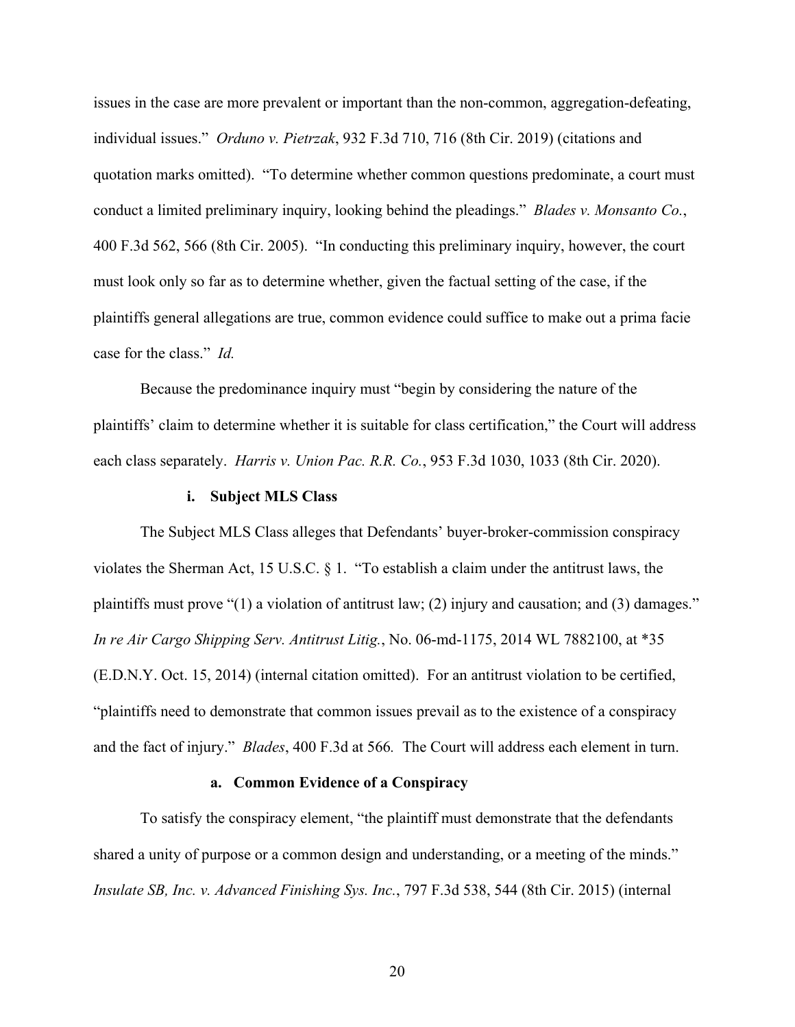issues in the case are more prevalent or important than the non-common, aggregation-defeating, individual issues." *Orduno v. Pietrzak*, 932 F.3d 710, 716 (8th Cir. 2019) (citations and quotation marks omitted). "To determine whether common questions predominate, a court must conduct a limited preliminary inquiry, looking behind the pleadings." *Blades v. Monsanto Co.*, 400 F.3d 562, 566 (8th Cir. 2005). "In conducting this preliminary inquiry, however, the court must look only so far as to determine whether, given the factual setting of the case, if the plaintiffs general allegations are true, common evidence could suffice to make out a prima facie case for the class." *Id.*

Because the predominance inquiry must "begin by considering the nature of the plaintiffs' claim to determine whether it is suitable for class certification," the Court will address each class separately. *Harris v. Union Pac. R.R. Co.*, 953 F.3d 1030, 1033 (8th Cir. 2020).

### **i. Subject MLS Class**

The Subject MLS Class alleges that Defendants' buyer-broker-commission conspiracy violates the Sherman Act, 15 U.S.C. § 1. "To establish a claim under the antitrust laws, the plaintiffs must prove "(1) a violation of antitrust law; (2) injury and causation; and (3) damages." *In re Air Cargo Shipping Serv. Antitrust Litig.*, No. 06-md-1175, 2014 WL 7882100, at \*35 (E.D.N.Y. Oct. 15, 2014) (internal citation omitted). For an antitrust violation to be certified, "plaintiffs need to demonstrate that common issues prevail as to the existence of a conspiracy and the fact of injury." *Blades*, 400 F.3d at 566*.* The Court will address each element in turn.

### **a. Common Evidence of a Conspiracy**

To satisfy the conspiracy element, "the plaintiff must demonstrate that the defendants shared a unity of purpose or a common design and understanding, or a meeting of the minds." *Insulate SB, Inc. v. Advanced Finishing Sys. Inc.*, 797 F.3d 538, 544 (8th Cir. 2015) (internal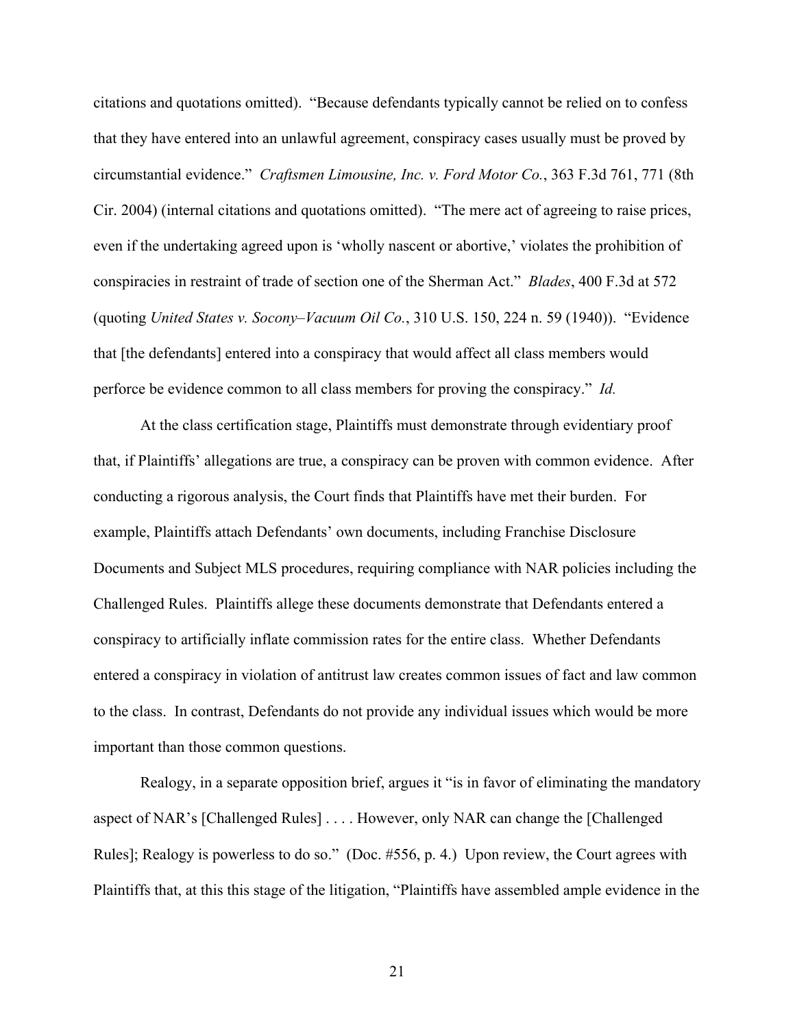citations and quotations omitted). "Because defendants typically cannot be relied on to confess that they have entered into an unlawful agreement, conspiracy cases usually must be proved by circumstantial evidence." *Craftsmen Limousine, Inc. v. Ford Motor Co.*, 363 F.3d 761, 771 (8th Cir. 2004) (internal citations and quotations omitted). "The mere act of agreeing to raise prices, even if the undertaking agreed upon is 'wholly nascent or abortive,' violates the prohibition of conspiracies in restraint of trade of section one of the Sherman Act." *Blades*, 400 F.3d at 572 (quoting *United States v. Socony–Vacuum Oil Co.*, 310 U.S. 150, 224 n. 59 (1940)). "Evidence that [the defendants] entered into a conspiracy that would affect all class members would perforce be evidence common to all class members for proving the conspiracy." *Id.*

At the class certification stage, Plaintiffs must demonstrate through evidentiary proof that, if Plaintiffs' allegations are true, a conspiracy can be proven with common evidence. After conducting a rigorous analysis, the Court finds that Plaintiffs have met their burden. For example, Plaintiffs attach Defendants' own documents, including Franchise Disclosure Documents and Subject MLS procedures, requiring compliance with NAR policies including the Challenged Rules. Plaintiffs allege these documents demonstrate that Defendants entered a conspiracy to artificially inflate commission rates for the entire class. Whether Defendants entered a conspiracy in violation of antitrust law creates common issues of fact and law common to the class. In contrast, Defendants do not provide any individual issues which would be more important than those common questions.

Realogy, in a separate opposition brief, argues it "is in favor of eliminating the mandatory aspect of NAR's [Challenged Rules] . . . . However, only NAR can change the [Challenged Rules]; Realogy is powerless to do so." (Doc. #556, p. 4.) Upon review, the Court agrees with Plaintiffs that, at this this stage of the litigation, "Plaintiffs have assembled ample evidence in the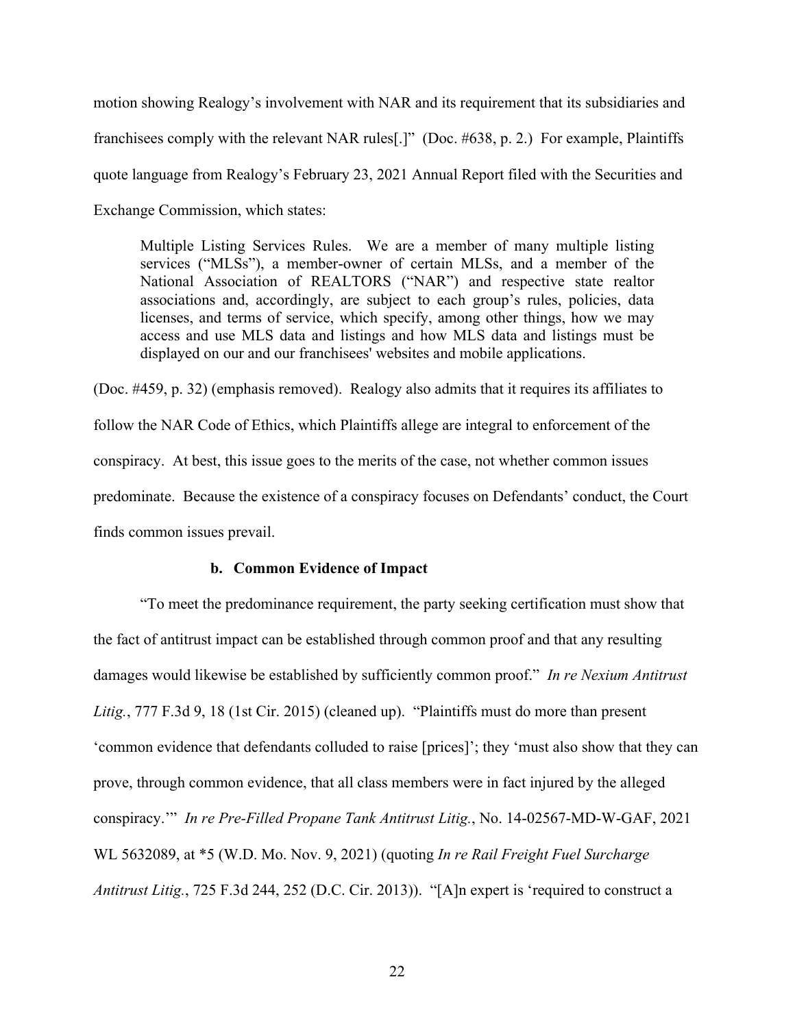motion showing Realogy's involvement with NAR and its requirement that its subsidiaries and franchisees comply with the relevant NAR rules[.]" (Doc. #638, p. 2.) For example, Plaintiffs quote language from Realogy's February 23, 2021 Annual Report filed with the Securities and Exchange Commission, which states:

Multiple Listing Services Rules. We are a member of many multiple listing services ("MLSs"), a member-owner of certain MLSs, and a member of the National Association of REALTORS ("NAR") and respective state realtor associations and, accordingly, are subject to each group's rules, policies, data licenses, and terms of service, which specify, among other things, how we may access and use MLS data and listings and how MLS data and listings must be displayed on our and our franchisees' websites and mobile applications.

(Doc. #459, p. 32) (emphasis removed). Realogy also admits that it requires its affiliates to follow the NAR Code of Ethics, which Plaintiffs allege are integral to enforcement of the conspiracy. At best, this issue goes to the merits of the case, not whether common issues predominate. Because the existence of a conspiracy focuses on Defendants' conduct, the Court finds common issues prevail.

### **b. Common Evidence of Impact**

"To meet the predominance requirement, the party seeking certification must show that the fact of antitrust impact can be established through common proof and that any resulting damages would likewise be established by sufficiently common proof." *In re Nexium Antitrust Litig.*, 777 F.3d 9, 18 (1st Cir. 2015) (cleaned up). "Plaintiffs must do more than present 'common evidence that defendants colluded to raise [prices]'; they 'must also show that they can prove, through common evidence, that all class members were in fact injured by the alleged conspiracy.'" *In re Pre-Filled Propane Tank Antitrust Litig.*, No. 14-02567-MD-W-GAF, 2021 WL 5632089, at \*5 (W.D. Mo. Nov. 9, 2021) (quoting *In re Rail Freight Fuel Surcharge Antitrust Litig.*, 725 F.3d 244, 252 (D.C. Cir. 2013)). "[A]n expert is 'required to construct a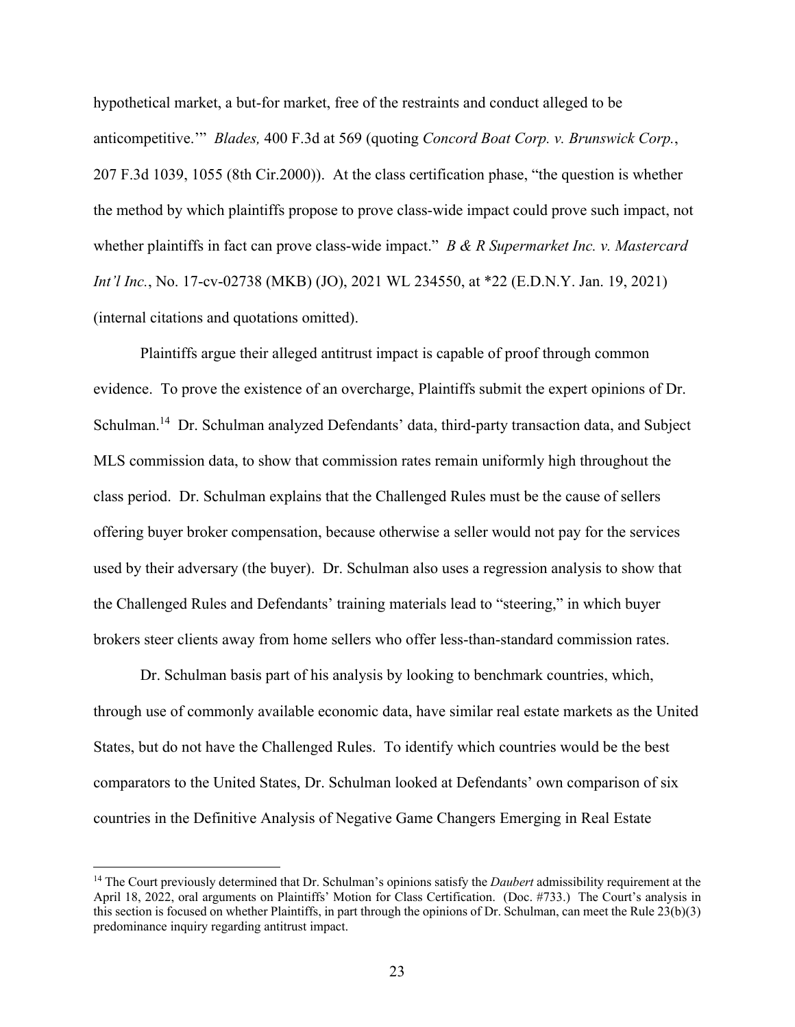hypothetical market, a but-for market, free of the restraints and conduct alleged to be anticompetitive.'" *Blades,* 400 F.3d at 569 (quoting *Concord Boat Corp. v. Brunswick Corp.*, 207 F.3d 1039, 1055 (8th Cir.2000)). At the class certification phase, "the question is whether the method by which plaintiffs propose to prove class-wide impact could prove such impact, not whether plaintiffs in fact can prove class-wide impact." *B & R Supermarket Inc. v. Mastercard Int'l Inc.*, No. 17-cv-02738 (MKB) (JO), 2021 WL 234550, at \*22 (E.D.N.Y. Jan. 19, 2021) (internal citations and quotations omitted).

Plaintiffs argue their alleged antitrust impact is capable of proof through common evidence. To prove the existence of an overcharge, Plaintiffs submit the expert opinions of Dr. Schulman.14 Dr. Schulman analyzed Defendants' data, third-party transaction data, and Subject MLS commission data, to show that commission rates remain uniformly high throughout the class period. Dr. Schulman explains that the Challenged Rules must be the cause of sellers offering buyer broker compensation, because otherwise a seller would not pay for the services used by their adversary (the buyer). Dr. Schulman also uses a regression analysis to show that the Challenged Rules and Defendants' training materials lead to "steering," in which buyer brokers steer clients away from home sellers who offer less-than-standard commission rates.

Dr. Schulman basis part of his analysis by looking to benchmark countries, which, through use of commonly available economic data, have similar real estate markets as the United States, but do not have the Challenged Rules. To identify which countries would be the best comparators to the United States, Dr. Schulman looked at Defendants' own comparison of six countries in the Definitive Analysis of Negative Game Changers Emerging in Real Estate

<sup>14</sup> The Court previously determined that Dr. Schulman's opinions satisfy the *Daubert* admissibility requirement at the April 18, 2022, oral arguments on Plaintiffs' Motion for Class Certification. (Doc. #733.) The Court's analysis in this section is focused on whether Plaintiffs, in part through the opinions of Dr. Schulman, can meet the Rule 23(b)(3) predominance inquiry regarding antitrust impact.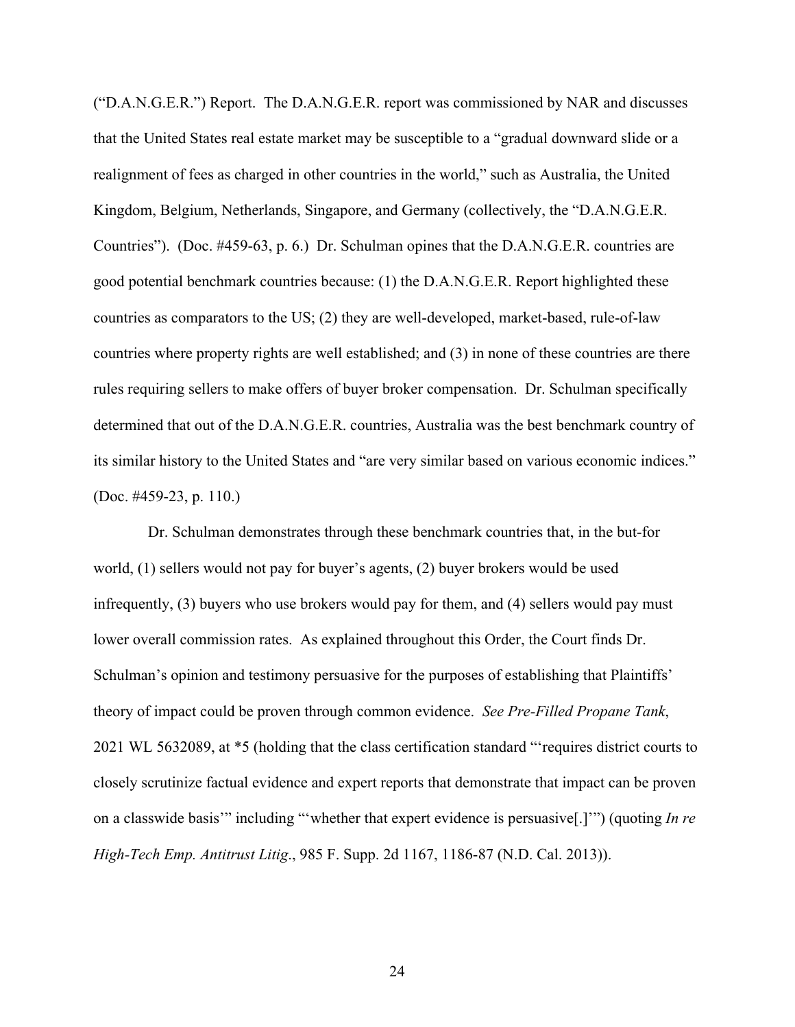("D.A.N.G.E.R.") Report. The D.A.N.G.E.R. report was commissioned by NAR and discusses that the United States real estate market may be susceptible to a "gradual downward slide or a realignment of fees as charged in other countries in the world," such as Australia, the United Kingdom, Belgium, Netherlands, Singapore, and Germany (collectively, the "D.A.N.G.E.R. Countries"). (Doc. #459-63, p. 6.) Dr. Schulman opines that the D.A.N.G.E.R. countries are good potential benchmark countries because: (1) the D.A.N.G.E.R. Report highlighted these countries as comparators to the US; (2) they are well-developed, market-based, rule-of-law countries where property rights are well established; and (3) in none of these countries are there rules requiring sellers to make offers of buyer broker compensation. Dr. Schulman specifically determined that out of the D.A.N.G.E.R. countries, Australia was the best benchmark country of its similar history to the United States and "are very similar based on various economic indices." (Doc. #459-23, p. 110.)

 Dr. Schulman demonstrates through these benchmark countries that, in the but-for world, (1) sellers would not pay for buyer's agents, (2) buyer brokers would be used infrequently, (3) buyers who use brokers would pay for them, and (4) sellers would pay must lower overall commission rates. As explained throughout this Order, the Court finds Dr. Schulman's opinion and testimony persuasive for the purposes of establishing that Plaintiffs' theory of impact could be proven through common evidence. *See Pre-Filled Propane Tank*, 2021 WL 5632089, at \*5 (holding that the class certification standard "'requires district courts to closely scrutinize factual evidence and expert reports that demonstrate that impact can be proven on a classwide basis'" including "'whether that expert evidence is persuasive[.]'") (quoting *In re High-Tech Emp. Antitrust Litig*., 985 F. Supp. 2d 1167, 1186-87 (N.D. Cal. 2013)).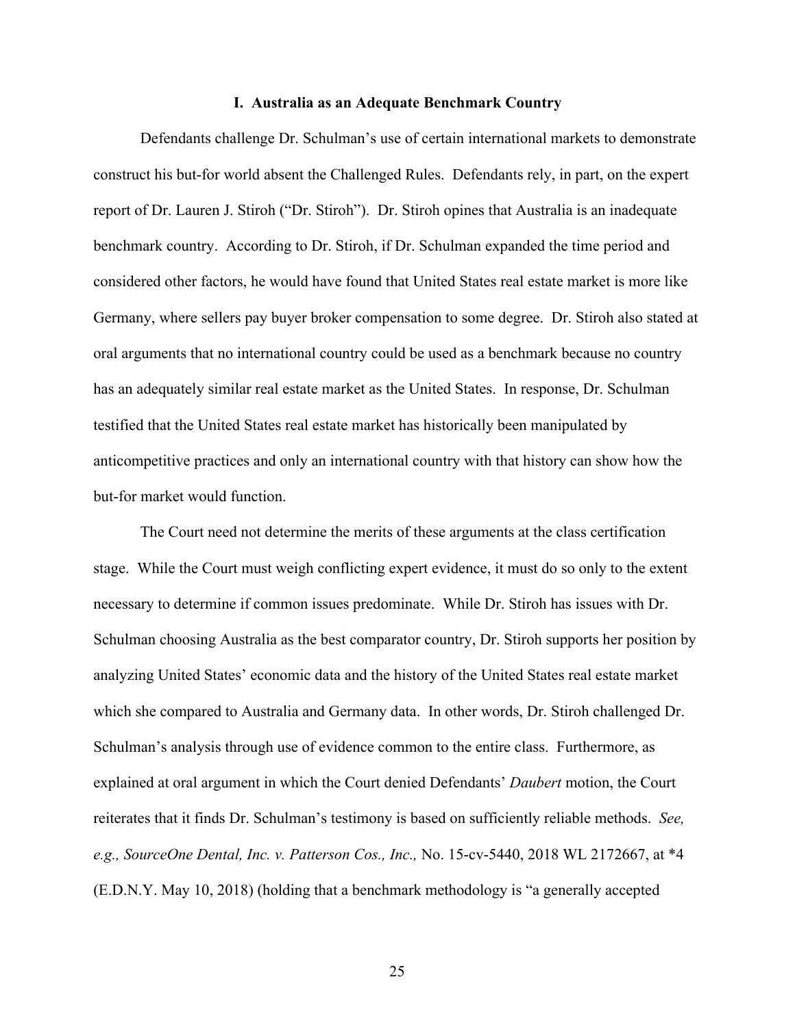#### **I. Australia as an Adequate Benchmark Country**

Defendants challenge Dr. Schulman's use of certain international markets to demonstrate construct his but-for world absent the Challenged Rules. Defendants rely, in part, on the expert report of Dr. Lauren J. Stiroh ("Dr. Stiroh"). Dr. Stiroh opines that Australia is an inadequate benchmark country. According to Dr. Stiroh, if Dr. Schulman expanded the time period and considered other factors, he would have found that United States real estate market is more like Germany, where sellers pay buyer broker compensation to some degree. Dr. Stiroh also stated at oral arguments that no international country could be used as a benchmark because no country has an adequately similar real estate market as the United States. In response, Dr. Schulman testified that the United States real estate market has historically been manipulated by anticompetitive practices and only an international country with that history can show how the but-for market would function.

The Court need not determine the merits of these arguments at the class certification stage. While the Court must weigh conflicting expert evidence, it must do so only to the extent necessary to determine if common issues predominate. While Dr. Stiroh has issues with Dr. Schulman choosing Australia as the best comparator country, Dr. Stiroh supports her position by analyzing United States' economic data and the history of the United States real estate market which she compared to Australia and Germany data. In other words, Dr. Stiroh challenged Dr. Schulman's analysis through use of evidence common to the entire class. Furthermore, as explained at oral argument in which the Court denied Defendants' *Daubert* motion, the Court reiterates that it finds Dr. Schulman's testimony is based on sufficiently reliable methods. *See, e.g., SourceOne Dental, Inc. v. Patterson Cos., Inc.,* No. 15-cv-5440, 2018 WL 2172667, at \*4 (E.D.N.Y. May 10, 2018) (holding that a benchmark methodology is "a generally accepted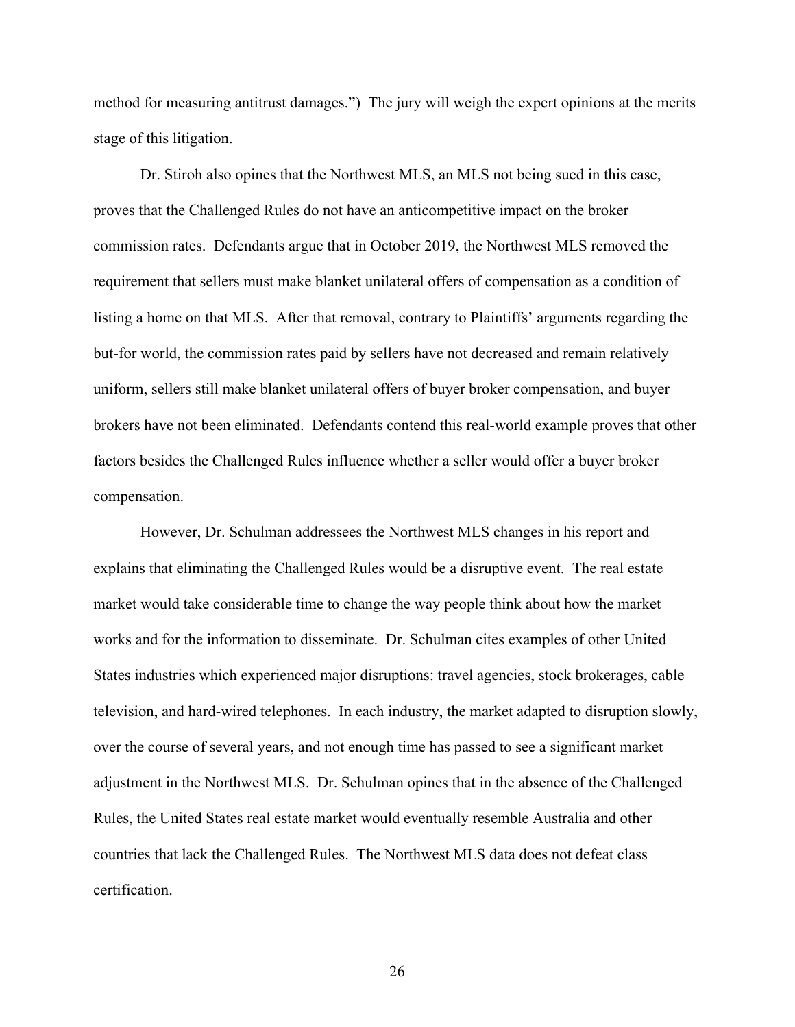method for measuring antitrust damages.") The jury will weigh the expert opinions at the merits stage of this litigation.

Dr. Stiroh also opines that the Northwest MLS, an MLS not being sued in this case, proves that the Challenged Rules do not have an anticompetitive impact on the broker commission rates. Defendants argue that in October 2019, the Northwest MLS removed the requirement that sellers must make blanket unilateral offers of compensation as a condition of listing a home on that MLS. After that removal, contrary to Plaintiffs' arguments regarding the but-for world, the commission rates paid by sellers have not decreased and remain relatively uniform, sellers still make blanket unilateral offers of buyer broker compensation, and buyer brokers have not been eliminated. Defendants contend this real-world example proves that other factors besides the Challenged Rules influence whether a seller would offer a buyer broker compensation.

However, Dr. Schulman addressees the Northwest MLS changes in his report and explains that eliminating the Challenged Rules would be a disruptive event. The real estate market would take considerable time to change the way people think about how the market works and for the information to disseminate. Dr. Schulman cites examples of other United States industries which experienced major disruptions: travel agencies, stock brokerages, cable television, and hard-wired telephones. In each industry, the market adapted to disruption slowly, over the course of several years, and not enough time has passed to see a significant market adjustment in the Northwest MLS. Dr. Schulman opines that in the absence of the Challenged Rules, the United States real estate market would eventually resemble Australia and other countries that lack the Challenged Rules. The Northwest MLS data does not defeat class certification.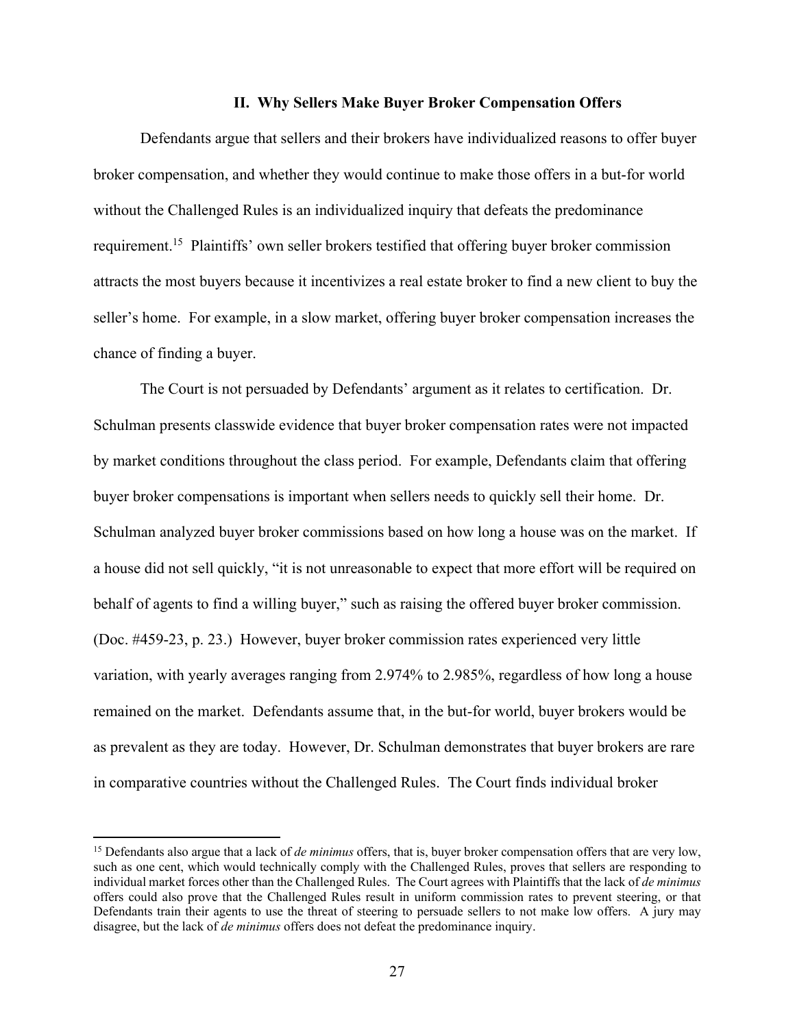## **II. Why Sellers Make Buyer Broker Compensation Offers**

Defendants argue that sellers and their brokers have individualized reasons to offer buyer broker compensation, and whether they would continue to make those offers in a but-for world without the Challenged Rules is an individualized inquiry that defeats the predominance requirement.<sup>15</sup> Plaintiffs' own seller brokers testified that offering buyer broker commission attracts the most buyers because it incentivizes a real estate broker to find a new client to buy the seller's home. For example, in a slow market, offering buyer broker compensation increases the chance of finding a buyer.

The Court is not persuaded by Defendants' argument as it relates to certification. Dr. Schulman presents classwide evidence that buyer broker compensation rates were not impacted by market conditions throughout the class period. For example, Defendants claim that offering buyer broker compensations is important when sellers needs to quickly sell their home. Dr. Schulman analyzed buyer broker commissions based on how long a house was on the market. If a house did not sell quickly, "it is not unreasonable to expect that more effort will be required on behalf of agents to find a willing buyer," such as raising the offered buyer broker commission. (Doc. #459-23, p. 23.) However, buyer broker commission rates experienced very little variation, with yearly averages ranging from 2.974% to 2.985%, regardless of how long a house remained on the market. Defendants assume that, in the but-for world, buyer brokers would be as prevalent as they are today. However, Dr. Schulman demonstrates that buyer brokers are rare in comparative countries without the Challenged Rules. The Court finds individual broker

<sup>&</sup>lt;sup>15</sup> Defendants also argue that a lack of *de minimus* offers, that is, buyer broker compensation offers that are very low, such as one cent, which would technically comply with the Challenged Rules, proves that sellers are responding to individual market forces other than the Challenged Rules. The Court agrees with Plaintiffs that the lack of *de minimus* offers could also prove that the Challenged Rules result in uniform commission rates to prevent steering, or that Defendants train their agents to use the threat of steering to persuade sellers to not make low offers. A jury may disagree, but the lack of *de minimus* offers does not defeat the predominance inquiry.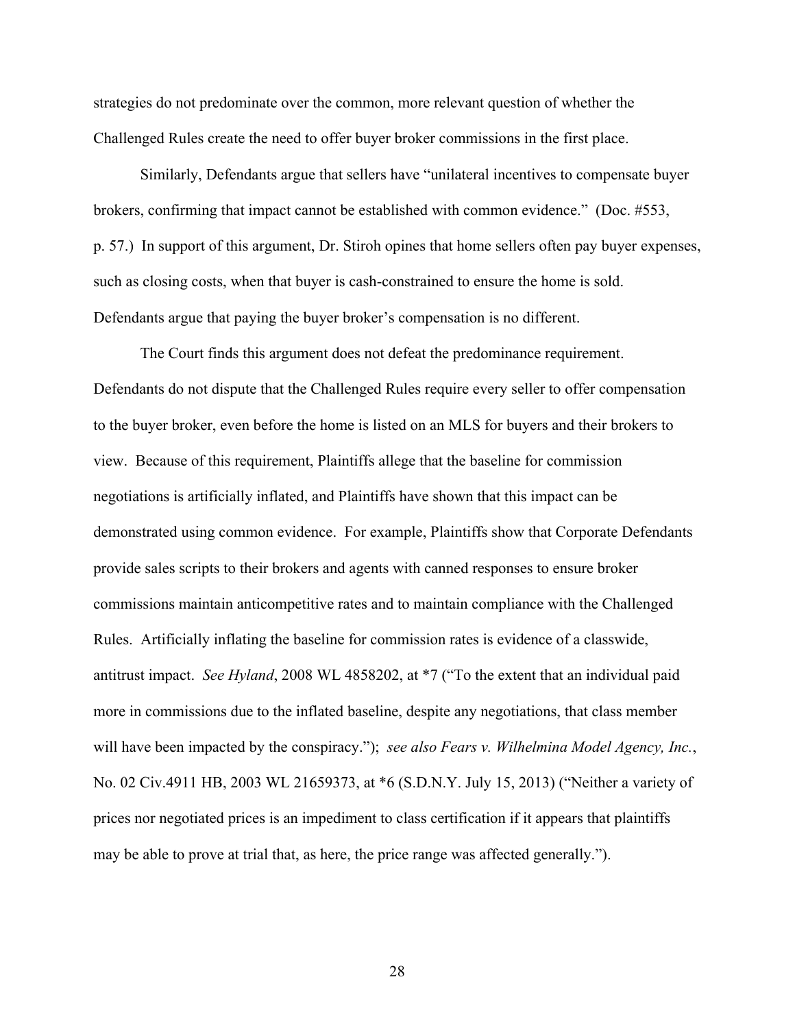strategies do not predominate over the common, more relevant question of whether the Challenged Rules create the need to offer buyer broker commissions in the first place.

Similarly, Defendants argue that sellers have "unilateral incentives to compensate buyer brokers, confirming that impact cannot be established with common evidence." (Doc. #553, p. 57.) In support of this argument, Dr. Stiroh opines that home sellers often pay buyer expenses, such as closing costs, when that buyer is cash-constrained to ensure the home is sold. Defendants argue that paying the buyer broker's compensation is no different.

The Court finds this argument does not defeat the predominance requirement. Defendants do not dispute that the Challenged Rules require every seller to offer compensation to the buyer broker, even before the home is listed on an MLS for buyers and their brokers to view. Because of this requirement, Plaintiffs allege that the baseline for commission negotiations is artificially inflated, and Plaintiffs have shown that this impact can be demonstrated using common evidence. For example, Plaintiffs show that Corporate Defendants provide sales scripts to their brokers and agents with canned responses to ensure broker commissions maintain anticompetitive rates and to maintain compliance with the Challenged Rules. Artificially inflating the baseline for commission rates is evidence of a classwide, antitrust impact. *See Hyland*, 2008 WL 4858202, at \*7 ("To the extent that an individual paid more in commissions due to the inflated baseline, despite any negotiations, that class member will have been impacted by the conspiracy."); *see also Fears v. Wilhelmina Model Agency, Inc.*, No. 02 Civ.4911 HB, 2003 WL 21659373, at \*6 (S.D.N.Y. July 15, 2013) ("Neither a variety of prices nor negotiated prices is an impediment to class certification if it appears that plaintiffs may be able to prove at trial that, as here, the price range was affected generally.").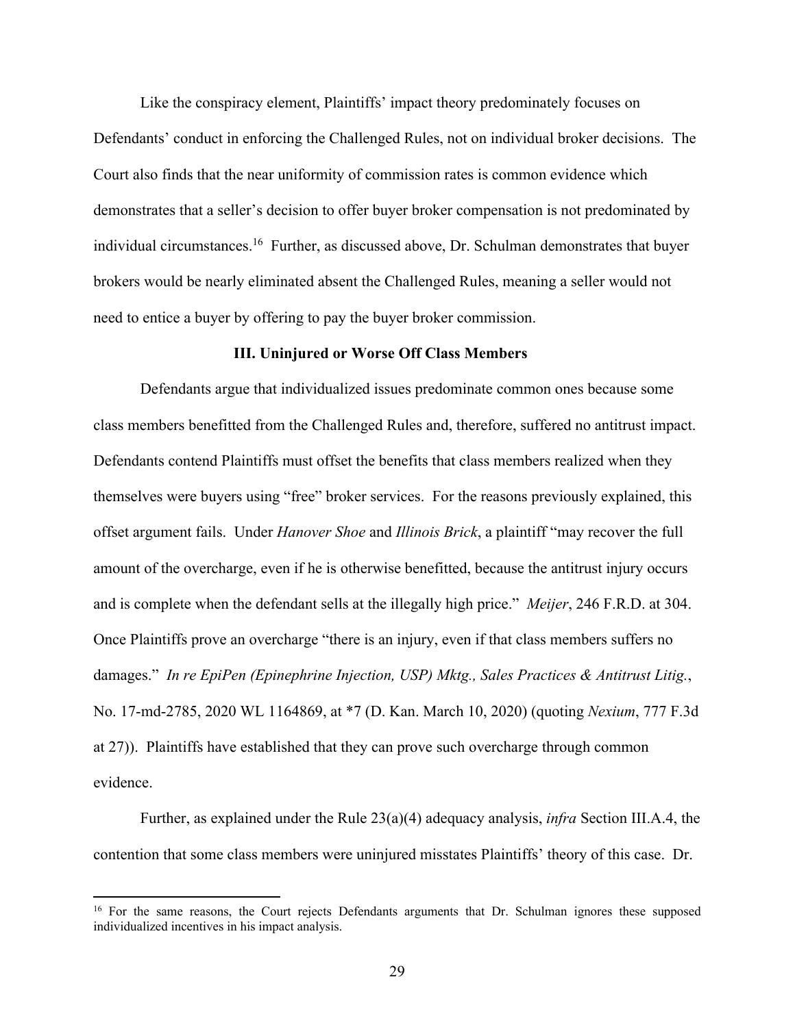Like the conspiracy element, Plaintiffs' impact theory predominately focuses on Defendants' conduct in enforcing the Challenged Rules, not on individual broker decisions. The Court also finds that the near uniformity of commission rates is common evidence which demonstrates that a seller's decision to offer buyer broker compensation is not predominated by individual circumstances.<sup>16</sup> Further, as discussed above, Dr. Schulman demonstrates that buyer brokers would be nearly eliminated absent the Challenged Rules, meaning a seller would not need to entice a buyer by offering to pay the buyer broker commission.

#### **III. Uninjured or Worse Off Class Members**

Defendants argue that individualized issues predominate common ones because some class members benefitted from the Challenged Rules and, therefore, suffered no antitrust impact. Defendants contend Plaintiffs must offset the benefits that class members realized when they themselves were buyers using "free" broker services. For the reasons previously explained, this offset argument fails. Under *Hanover Shoe* and *Illinois Brick*, a plaintiff "may recover the full amount of the overcharge, even if he is otherwise benefitted, because the antitrust injury occurs and is complete when the defendant sells at the illegally high price." *Meijer*, 246 F.R.D. at 304. Once Plaintiffs prove an overcharge "there is an injury, even if that class members suffers no damages." *In re EpiPen (Epinephrine Injection, USP) Mktg., Sales Practices & Antitrust Litig.*, No. 17-md-2785, 2020 WL 1164869, at \*7 (D. Kan. March 10, 2020) (quoting *Nexium*, 777 F.3d at 27)). Plaintiffs have established that they can prove such overcharge through common evidence.

Further, as explained under the Rule 23(a)(4) adequacy analysis, *infra* Section III.A.4, the contention that some class members were uninjured misstates Plaintiffs' theory of this case. Dr.

<sup>&</sup>lt;sup>16</sup> For the same reasons, the Court rejects Defendants arguments that Dr. Schulman ignores these supposed individualized incentives in his impact analysis.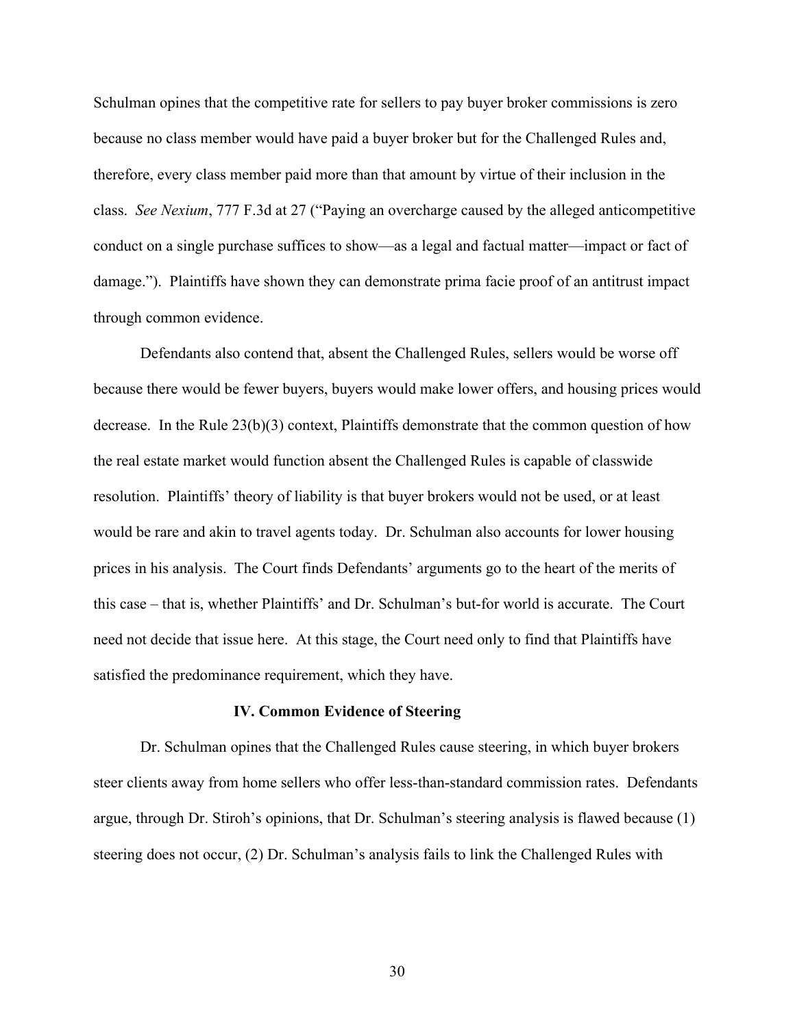Schulman opines that the competitive rate for sellers to pay buyer broker commissions is zero because no class member would have paid a buyer broker but for the Challenged Rules and, therefore, every class member paid more than that amount by virtue of their inclusion in the class. *See Nexium*, 777 F.3d at 27 ("Paying an overcharge caused by the alleged anticompetitive conduct on a single purchase suffices to show—as a legal and factual matter—impact or fact of damage."). Plaintiffs have shown they can demonstrate prima facie proof of an antitrust impact through common evidence.

Defendants also contend that, absent the Challenged Rules, sellers would be worse off because there would be fewer buyers, buyers would make lower offers, and housing prices would decrease. In the Rule  $23(b)(3)$  context, Plaintiffs demonstrate that the common question of how the real estate market would function absent the Challenged Rules is capable of classwide resolution. Plaintiffs' theory of liability is that buyer brokers would not be used, or at least would be rare and akin to travel agents today. Dr. Schulman also accounts for lower housing prices in his analysis. The Court finds Defendants' arguments go to the heart of the merits of this case – that is, whether Plaintiffs' and Dr. Schulman's but-for world is accurate. The Court need not decide that issue here. At this stage, the Court need only to find that Plaintiffs have satisfied the predominance requirement, which they have.

#### **IV. Common Evidence of Steering**

Dr. Schulman opines that the Challenged Rules cause steering, in which buyer brokers steer clients away from home sellers who offer less-than-standard commission rates. Defendants argue, through Dr. Stiroh's opinions, that Dr. Schulman's steering analysis is flawed because (1) steering does not occur, (2) Dr. Schulman's analysis fails to link the Challenged Rules with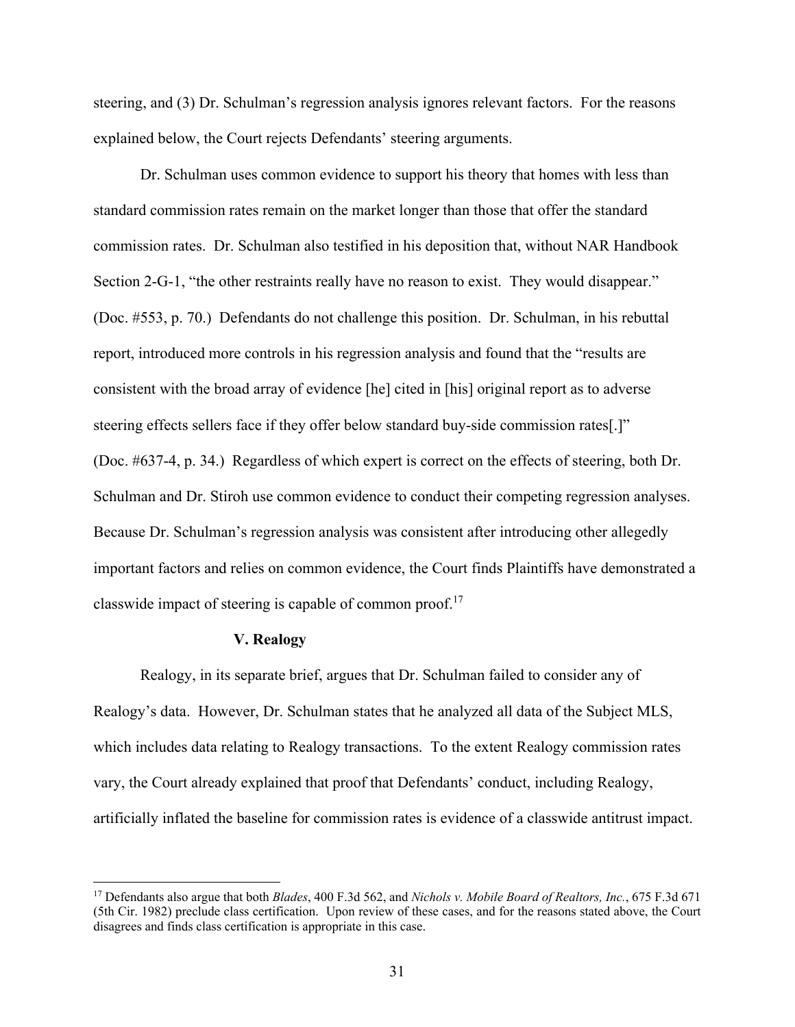steering, and (3) Dr. Schulman's regression analysis ignores relevant factors. For the reasons explained below, the Court rejects Defendants' steering arguments.

Dr. Schulman uses common evidence to support his theory that homes with less than standard commission rates remain on the market longer than those that offer the standard commission rates. Dr. Schulman also testified in his deposition that, without NAR Handbook Section 2-G-1, "the other restraints really have no reason to exist. They would disappear." (Doc. #553, p. 70.) Defendants do not challenge this position. Dr. Schulman, in his rebuttal report, introduced more controls in his regression analysis and found that the "results are consistent with the broad array of evidence [he] cited in [his] original report as to adverse steering effects sellers face if they offer below standard buy-side commission rates[.]" (Doc. #637-4, p. 34.) Regardless of which expert is correct on the effects of steering, both Dr. Schulman and Dr. Stiroh use common evidence to conduct their competing regression analyses. Because Dr. Schulman's regression analysis was consistent after introducing other allegedly important factors and relies on common evidence, the Court finds Plaintiffs have demonstrated a classwide impact of steering is capable of common proof.<sup>17</sup>

#### **V. Realogy**

Realogy, in its separate brief, argues that Dr. Schulman failed to consider any of Realogy's data. However, Dr. Schulman states that he analyzed all data of the Subject MLS, which includes data relating to Realogy transactions. To the extent Realogy commission rates vary, the Court already explained that proof that Defendants' conduct, including Realogy, artificially inflated the baseline for commission rates is evidence of a classwide antitrust impact.

<sup>17</sup> Defendants also argue that both *Blades*, 400 F.3d 562, and *Nichols v. Mobile Board of Realtors, Inc.*, 675 F.3d 671 (5th Cir. 1982) preclude class certification. Upon review of these cases, and for the reasons stated above, the Court disagrees and finds class certification is appropriate in this case.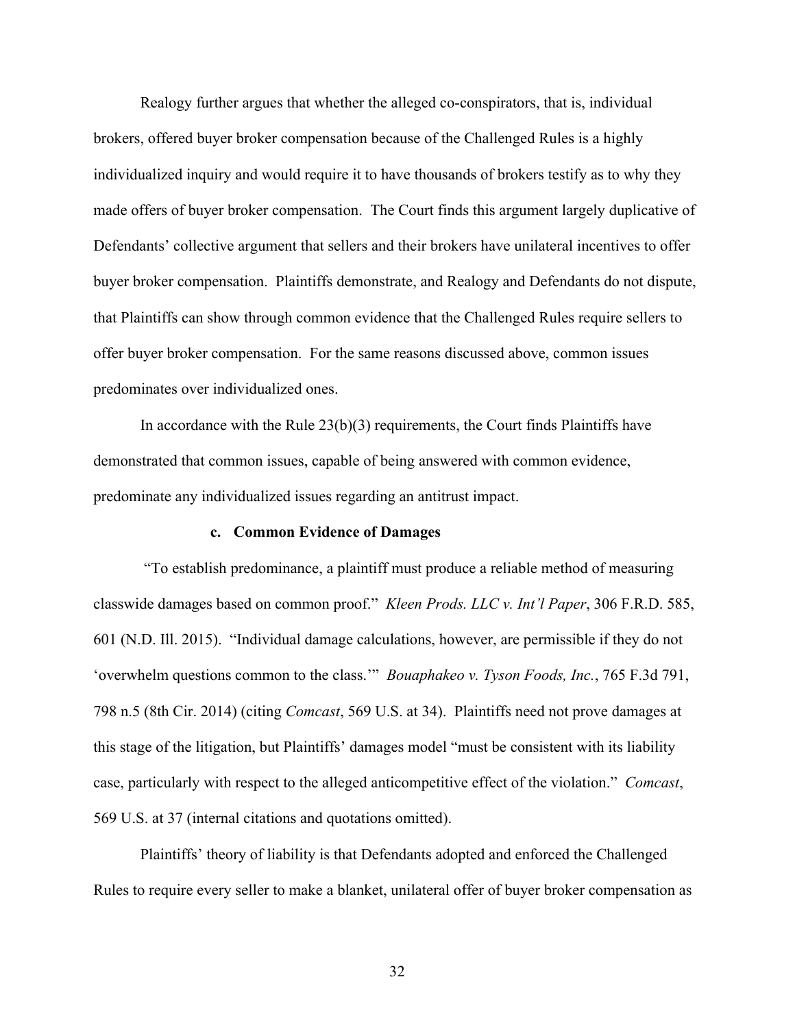Realogy further argues that whether the alleged co-conspirators, that is, individual brokers, offered buyer broker compensation because of the Challenged Rules is a highly individualized inquiry and would require it to have thousands of brokers testify as to why they made offers of buyer broker compensation. The Court finds this argument largely duplicative of Defendants' collective argument that sellers and their brokers have unilateral incentives to offer buyer broker compensation. Plaintiffs demonstrate, and Realogy and Defendants do not dispute, that Plaintiffs can show through common evidence that the Challenged Rules require sellers to offer buyer broker compensation. For the same reasons discussed above, common issues predominates over individualized ones.

In accordance with the Rule  $23(b)(3)$  requirements, the Court finds Plaintiffs have demonstrated that common issues, capable of being answered with common evidence, predominate any individualized issues regarding an antitrust impact.

#### **c. Common Evidence of Damages**

 "To establish predominance, a plaintiff must produce a reliable method of measuring classwide damages based on common proof." *Kleen Prods. LLC v. Int'l Paper*, 306 F.R.D. 585, 601 (N.D. Ill. 2015). "Individual damage calculations, however, are permissible if they do not 'overwhelm questions common to the class.'" *Bouaphakeo v. Tyson Foods, Inc.*, 765 F.3d 791, 798 n.5 (8th Cir. 2014) (citing *Comcast*, 569 U.S. at 34). Plaintiffs need not prove damages at this stage of the litigation, but Plaintiffs' damages model "must be consistent with its liability case, particularly with respect to the alleged anticompetitive effect of the violation." *Comcast*, 569 U.S. at 37 (internal citations and quotations omitted).

Plaintiffs' theory of liability is that Defendants adopted and enforced the Challenged Rules to require every seller to make a blanket, unilateral offer of buyer broker compensation as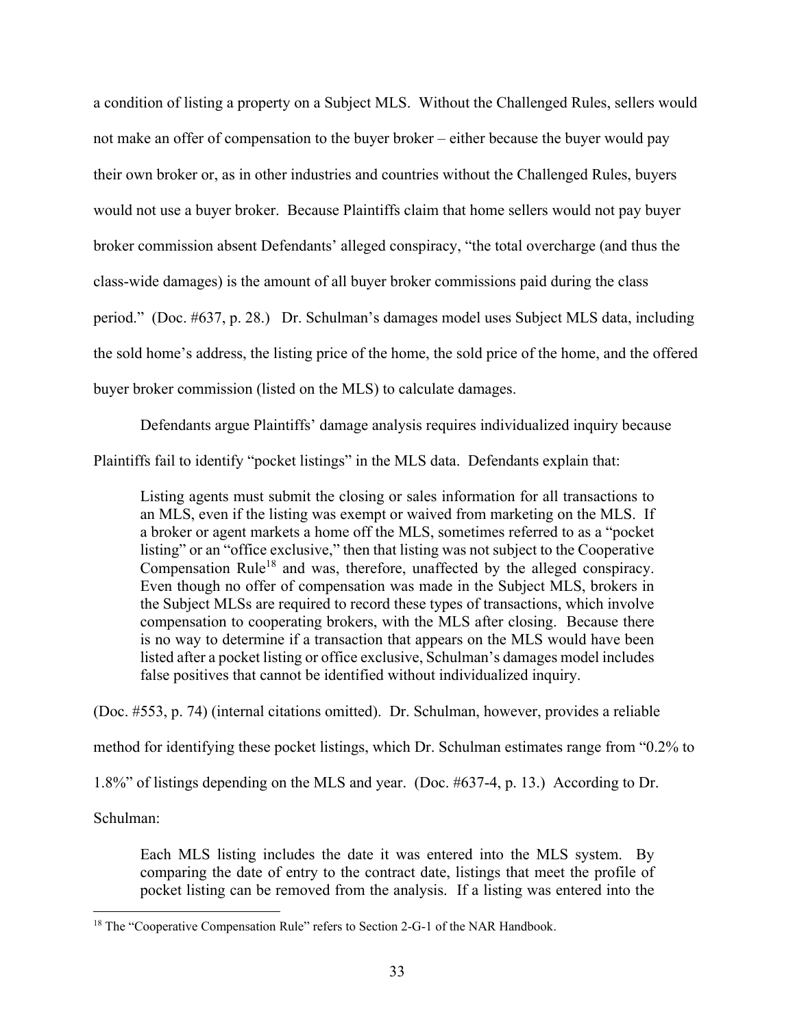a condition of listing a property on a Subject MLS. Without the Challenged Rules, sellers would not make an offer of compensation to the buyer broker – either because the buyer would pay their own broker or, as in other industries and countries without the Challenged Rules, buyers would not use a buyer broker. Because Plaintiffs claim that home sellers would not pay buyer broker commission absent Defendants' alleged conspiracy, "the total overcharge (and thus the class-wide damages) is the amount of all buyer broker commissions paid during the class period." (Doc. #637, p. 28.) Dr. Schulman's damages model uses Subject MLS data, including the sold home's address, the listing price of the home, the sold price of the home, and the offered buyer broker commission (listed on the MLS) to calculate damages.

Defendants argue Plaintiffs' damage analysis requires individualized inquiry because Plaintiffs fail to identify "pocket listings" in the MLS data. Defendants explain that:

Listing agents must submit the closing or sales information for all transactions to an MLS, even if the listing was exempt or waived from marketing on the MLS. If a broker or agent markets a home off the MLS, sometimes referred to as a "pocket listing" or an "office exclusive," then that listing was not subject to the Cooperative Compensation Rule<sup>18</sup> and was, therefore, unaffected by the alleged conspiracy. Even though no offer of compensation was made in the Subject MLS, brokers in the Subject MLSs are required to record these types of transactions, which involve compensation to cooperating brokers, with the MLS after closing. Because there is no way to determine if a transaction that appears on the MLS would have been listed after a pocket listing or office exclusive, Schulman's damages model includes false positives that cannot be identified without individualized inquiry.

(Doc. #553, p. 74) (internal citations omitted). Dr. Schulman, however, provides a reliable method for identifying these pocket listings, which Dr. Schulman estimates range from "0.2% to 1.8%" of listings depending on the MLS and year. (Doc. #637-4, p. 13.) According to Dr.

Schulman:

Each MLS listing includes the date it was entered into the MLS system. By comparing the date of entry to the contract date, listings that meet the profile of pocket listing can be removed from the analysis. If a listing was entered into the

<sup>&</sup>lt;sup>18</sup> The "Cooperative Compensation Rule" refers to Section 2-G-1 of the NAR Handbook.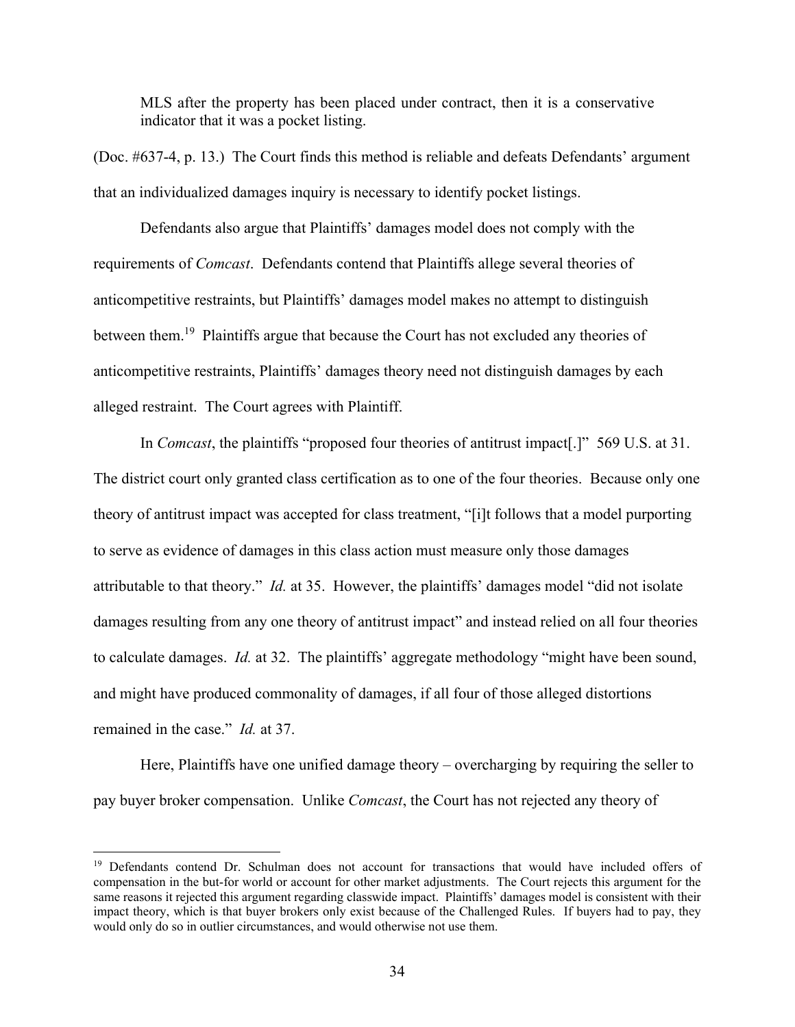MLS after the property has been placed under contract, then it is a conservative indicator that it was a pocket listing.

(Doc. #637-4, p. 13.) The Court finds this method is reliable and defeats Defendants' argument that an individualized damages inquiry is necessary to identify pocket listings.

 Defendants also argue that Plaintiffs' damages model does not comply with the requirements of *Comcast*. Defendants contend that Plaintiffs allege several theories of anticompetitive restraints, but Plaintiffs' damages model makes no attempt to distinguish between them.<sup>19</sup> Plaintiffs argue that because the Court has not excluded any theories of anticompetitive restraints, Plaintiffs' damages theory need not distinguish damages by each alleged restraint. The Court agrees with Plaintiff.

 In *Comcast*, the plaintiffs "proposed four theories of antitrust impact[.]" 569 U.S. at 31. The district court only granted class certification as to one of the four theories. Because only one theory of antitrust impact was accepted for class treatment, "[i]t follows that a model purporting to serve as evidence of damages in this class action must measure only those damages attributable to that theory." *Id.* at 35. However, the plaintiffs' damages model "did not isolate damages resulting from any one theory of antitrust impact" and instead relied on all four theories to calculate damages. *Id.* at 32. The plaintiffs' aggregate methodology "might have been sound, and might have produced commonality of damages, if all four of those alleged distortions remained in the case." *Id.* at 37.

Here, Plaintiffs have one unified damage theory – overcharging by requiring the seller to pay buyer broker compensation. Unlike *Comcast*, the Court has not rejected any theory of

<sup>&</sup>lt;sup>19</sup> Defendants contend Dr. Schulman does not account for transactions that would have included offers of compensation in the but-for world or account for other market adjustments. The Court rejects this argument for the same reasons it rejected this argument regarding classwide impact. Plaintiffs' damages model is consistent with their impact theory, which is that buyer brokers only exist because of the Challenged Rules. If buyers had to pay, they would only do so in outlier circumstances, and would otherwise not use them.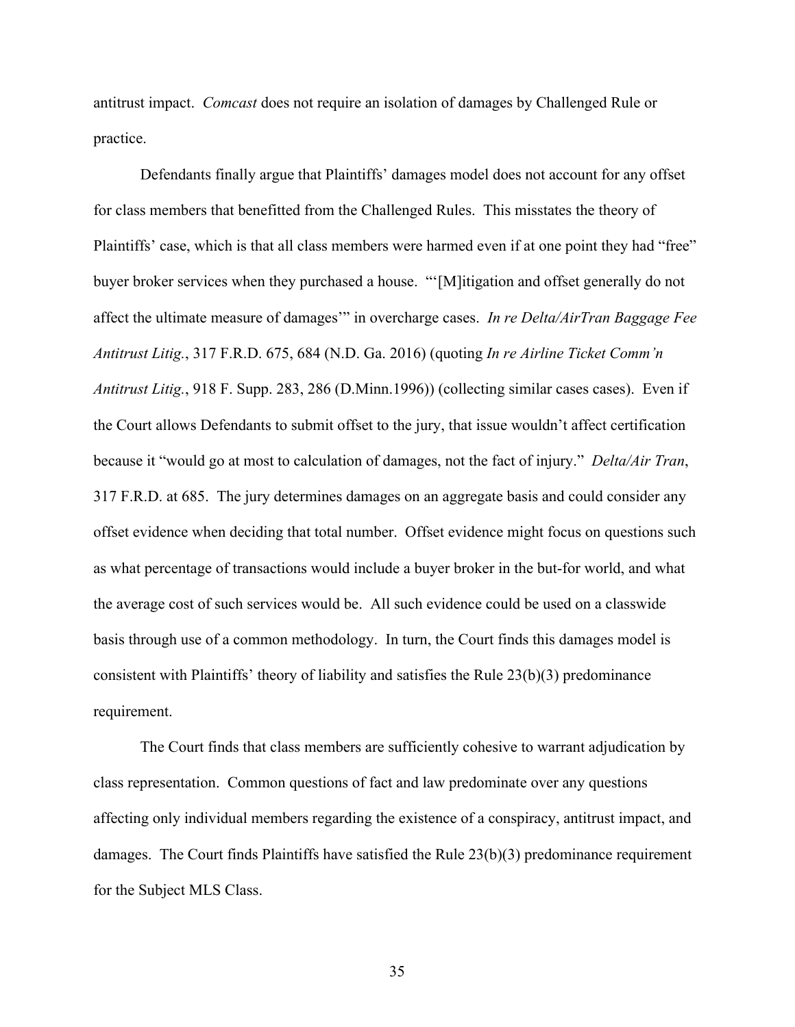antitrust impact. *Comcast* does not require an isolation of damages by Challenged Rule or practice.

 Defendants finally argue that Plaintiffs' damages model does not account for any offset for class members that benefitted from the Challenged Rules. This misstates the theory of Plaintiffs' case, which is that all class members were harmed even if at one point they had "free" buyer broker services when they purchased a house. "'[M]itigation and offset generally do not affect the ultimate measure of damages'" in overcharge cases. *In re Delta/AirTran Baggage Fee Antitrust Litig.*, 317 F.R.D. 675, 684 (N.D. Ga. 2016) (quoting *In re Airline Ticket Comm'n Antitrust Litig.*, 918 F. Supp. 283, 286 (D.Minn.1996)) (collecting similar cases cases). Even if the Court allows Defendants to submit offset to the jury, that issue wouldn't affect certification because it "would go at most to calculation of damages, not the fact of injury." *Delta/Air Tran*, 317 F.R.D. at 685. The jury determines damages on an aggregate basis and could consider any offset evidence when deciding that total number. Offset evidence might focus on questions such as what percentage of transactions would include a buyer broker in the but-for world, and what the average cost of such services would be. All such evidence could be used on a classwide basis through use of a common methodology. In turn, the Court finds this damages model is consistent with Plaintiffs' theory of liability and satisfies the Rule 23(b)(3) predominance requirement.

The Court finds that class members are sufficiently cohesive to warrant adjudication by class representation. Common questions of fact and law predominate over any questions affecting only individual members regarding the existence of a conspiracy, antitrust impact, and damages. The Court finds Plaintiffs have satisfied the Rule 23(b)(3) predominance requirement for the Subject MLS Class.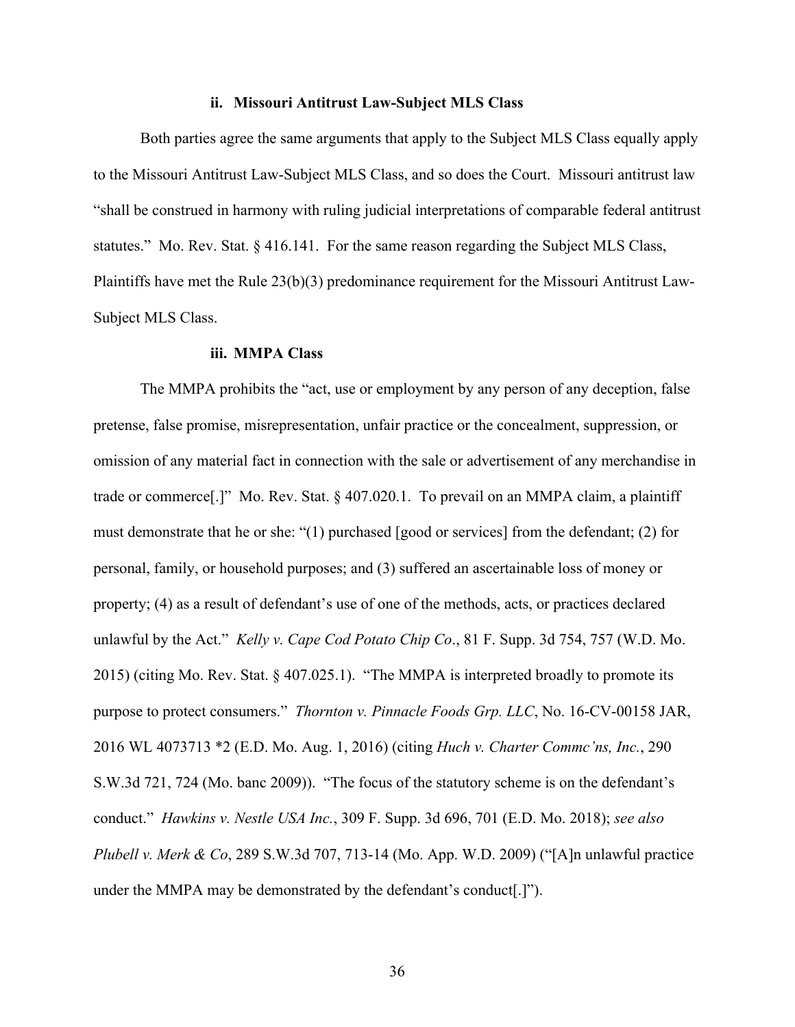### **ii. Missouri Antitrust Law-Subject MLS Class**

Both parties agree the same arguments that apply to the Subject MLS Class equally apply to the Missouri Antitrust Law-Subject MLS Class, and so does the Court. Missouri antitrust law "shall be construed in harmony with ruling judicial interpretations of comparable federal antitrust statutes." Mo. Rev. Stat. § 416.141. For the same reason regarding the Subject MLS Class, Plaintiffs have met the Rule 23(b)(3) predominance requirement for the Missouri Antitrust Law-Subject MLS Class.

#### **iii. MMPA Class**

The MMPA prohibits the "act, use or employment by any person of any deception, false pretense, false promise, misrepresentation, unfair practice or the concealment, suppression, or omission of any material fact in connection with the sale or advertisement of any merchandise in trade or commerce[.]" Mo. Rev. Stat. § 407.020.1. To prevail on an MMPA claim, a plaintiff must demonstrate that he or she: "(1) purchased [good or services] from the defendant; (2) for personal, family, or household purposes; and (3) suffered an ascertainable loss of money or property; (4) as a result of defendant's use of one of the methods, acts, or practices declared unlawful by the Act." *Kelly v. Cape Cod Potato Chip Co*., 81 F. Supp. 3d 754, 757 (W.D. Mo. 2015) (citing Mo. Rev. Stat. § 407.025.1). "The MMPA is interpreted broadly to promote its purpose to protect consumers." *Thornton v. Pinnacle Foods Grp. LLC*, No. 16-CV-00158 JAR, 2016 WL 4073713 \*2 (E.D. Mo. Aug. 1, 2016) (citing *Huch v. Charter Commc'ns, Inc.*, 290 S.W.3d 721, 724 (Mo. banc 2009)). "The focus of the statutory scheme is on the defendant's conduct." *Hawkins v. Nestle USA Inc.*, 309 F. Supp. 3d 696, 701 (E.D. Mo. 2018); *see also Plubell v. Merk & Co*, 289 S.W.3d 707, 713-14 (Mo. App. W.D. 2009) ("[A]n unlawful practice under the MMPA may be demonstrated by the defendant's conduct[.]").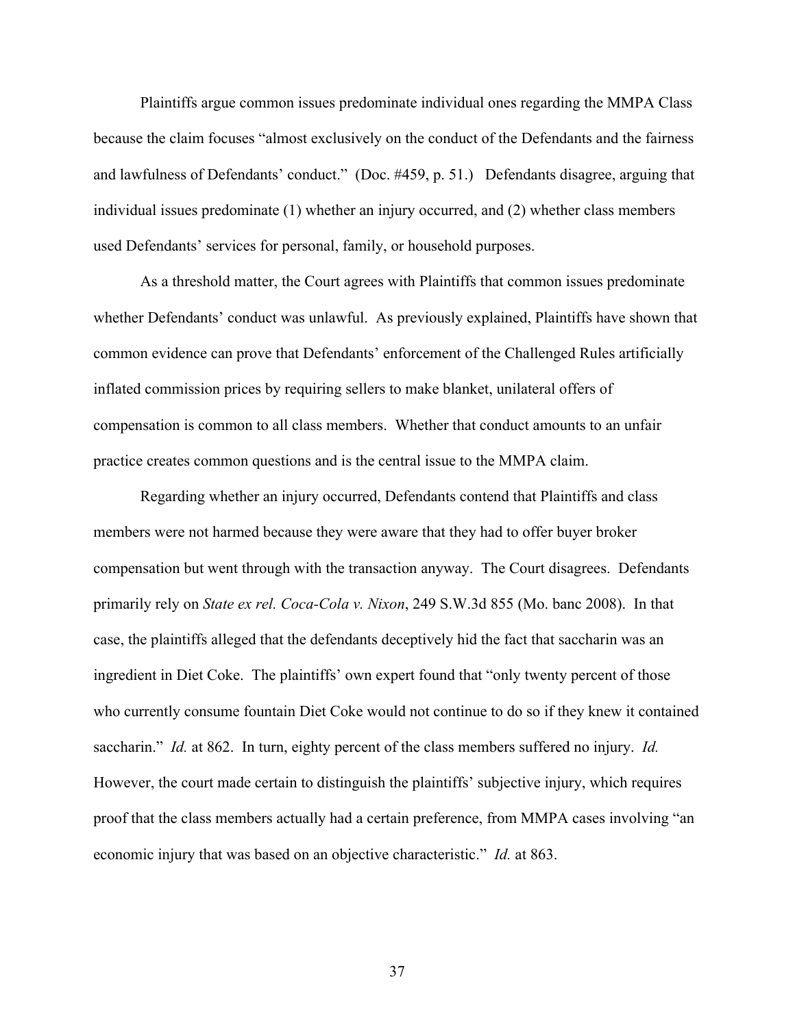Plaintiffs argue common issues predominate individual ones regarding the MMPA Class because the claim focuses "almost exclusively on the conduct of the Defendants and the fairness and lawfulness of Defendants' conduct." (Doc. #459, p. 51.) Defendants disagree, arguing that individual issues predominate (1) whether an injury occurred, and (2) whether class members used Defendants' services for personal, family, or household purposes.

As a threshold matter, the Court agrees with Plaintiffs that common issues predominate whether Defendants' conduct was unlawful. As previously explained, Plaintiffs have shown that common evidence can prove that Defendants' enforcement of the Challenged Rules artificially inflated commission prices by requiring sellers to make blanket, unilateral offers of compensation is common to all class members. Whether that conduct amounts to an unfair practice creates common questions and is the central issue to the MMPA claim.

Regarding whether an injury occurred, Defendants contend that Plaintiffs and class members were not harmed because they were aware that they had to offer buyer broker compensation but went through with the transaction anyway. The Court disagrees. Defendants primarily rely on *State ex rel. Coca-Cola v. Nixon*, 249 S.W.3d 855 (Mo. banc 2008). In that case, the plaintiffs alleged that the defendants deceptively hid the fact that saccharin was an ingredient in Diet Coke. The plaintiffs' own expert found that "only twenty percent of those who currently consume fountain Diet Coke would not continue to do so if they knew it contained saccharin." *Id.* at 862. In turn, eighty percent of the class members suffered no injury. *Id.* However, the court made certain to distinguish the plaintiffs' subjective injury, which requires proof that the class members actually had a certain preference, from MMPA cases involving "an economic injury that was based on an objective characteristic." *Id.* at 863.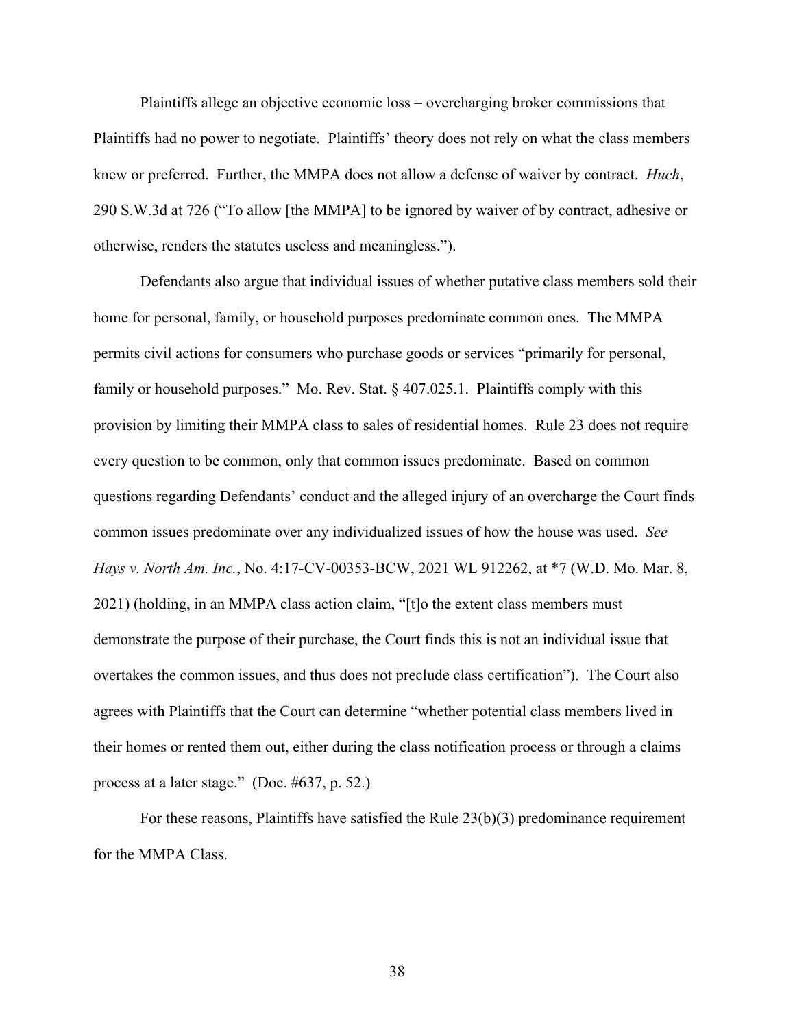Plaintiffs allege an objective economic loss – overcharging broker commissions that Plaintiffs had no power to negotiate. Plaintiffs' theory does not rely on what the class members knew or preferred. Further, the MMPA does not allow a defense of waiver by contract. *Huch*, 290 S.W.3d at 726 ("To allow [the MMPA] to be ignored by waiver of by contract, adhesive or otherwise, renders the statutes useless and meaningless.").

Defendants also argue that individual issues of whether putative class members sold their home for personal, family, or household purposes predominate common ones. The MMPA permits civil actions for consumers who purchase goods or services "primarily for personal, family or household purposes." Mo. Rev. Stat. § 407.025.1. Plaintiffs comply with this provision by limiting their MMPA class to sales of residential homes. Rule 23 does not require every question to be common, only that common issues predominate. Based on common questions regarding Defendants' conduct and the alleged injury of an overcharge the Court finds common issues predominate over any individualized issues of how the house was used. *See Hays v. North Am. Inc.*, No. 4:17-CV-00353-BCW, 2021 WL 912262, at \*7 (W.D. Mo. Mar. 8, 2021) (holding, in an MMPA class action claim, "[t]o the extent class members must demonstrate the purpose of their purchase, the Court finds this is not an individual issue that overtakes the common issues, and thus does not preclude class certification"). The Court also agrees with Plaintiffs that the Court can determine "whether potential class members lived in their homes or rented them out, either during the class notification process or through a claims process at a later stage." (Doc. #637, p. 52.)

For these reasons, Plaintiffs have satisfied the Rule 23(b)(3) predominance requirement for the MMPA Class.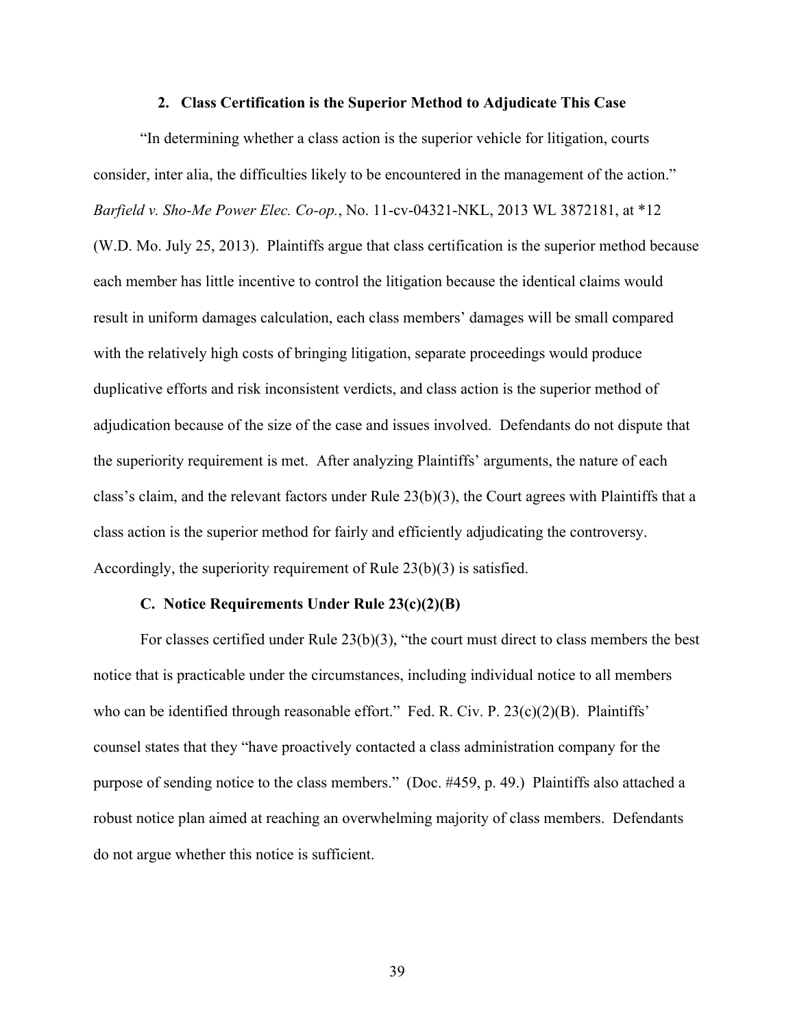#### **2. Class Certification is the Superior Method to Adjudicate This Case**

"In determining whether a class action is the superior vehicle for litigation, courts consider, inter alia, the difficulties likely to be encountered in the management of the action." *Barfield v. Sho-Me Power Elec. Co-op.*, No. 11-cv-04321-NKL, 2013 WL 3872181, at \*12 (W.D. Mo. July 25, 2013). Plaintiffs argue that class certification is the superior method because each member has little incentive to control the litigation because the identical claims would result in uniform damages calculation, each class members' damages will be small compared with the relatively high costs of bringing litigation, separate proceedings would produce duplicative efforts and risk inconsistent verdicts, and class action is the superior method of adjudication because of the size of the case and issues involved. Defendants do not dispute that the superiority requirement is met. After analyzing Plaintiffs' arguments, the nature of each class's claim, and the relevant factors under Rule 23(b)(3), the Court agrees with Plaintiffs that a class action is the superior method for fairly and efficiently adjudicating the controversy. Accordingly, the superiority requirement of Rule 23(b)(3) is satisfied.

### **C. Notice Requirements Under Rule 23(c)(2)(B)**

For classes certified under Rule 23(b)(3), "the court must direct to class members the best notice that is practicable under the circumstances, including individual notice to all members who can be identified through reasonable effort." Fed. R. Civ. P. 23(c)(2)(B). Plaintiffs' counsel states that they "have proactively contacted a class administration company for the purpose of sending notice to the class members." (Doc. #459, p. 49.) Plaintiffs also attached a robust notice plan aimed at reaching an overwhelming majority of class members. Defendants do not argue whether this notice is sufficient.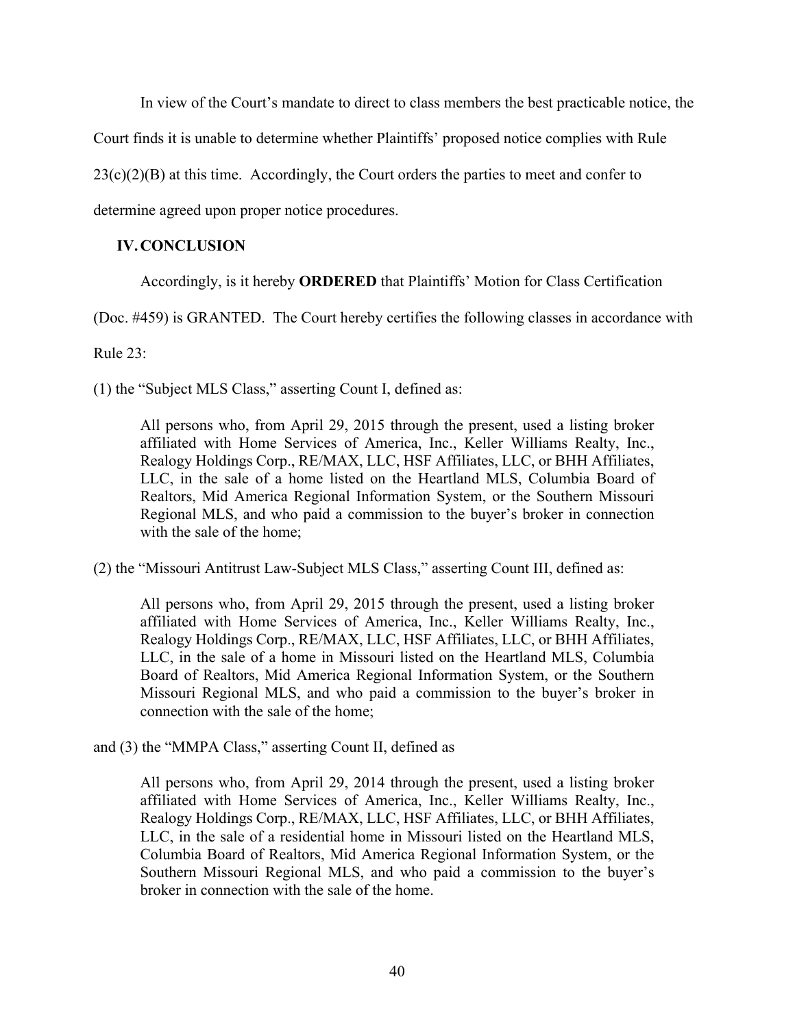In view of the Court's mandate to direct to class members the best practicable notice, the

Court finds it is unable to determine whether Plaintiffs' proposed notice complies with Rule

 $23(c)(2)(B)$  at this time. Accordingly, the Court orders the parties to meet and confer to

determine agreed upon proper notice procedures.

## **IV.CONCLUSION**

Accordingly, is it hereby **ORDERED** that Plaintiffs' Motion for Class Certification

(Doc. #459) is GRANTED. The Court hereby certifies the following classes in accordance with

Rule 23:

(1) the "Subject MLS Class," asserting Count I, defined as:

All persons who, from April 29, 2015 through the present, used a listing broker affiliated with Home Services of America, Inc., Keller Williams Realty, Inc., Realogy Holdings Corp., RE/MAX, LLC, HSF Affiliates, LLC, or BHH Affiliates, LLC, in the sale of a home listed on the Heartland MLS, Columbia Board of Realtors, Mid America Regional Information System, or the Southern Missouri Regional MLS, and who paid a commission to the buyer's broker in connection with the sale of the home;

(2) the "Missouri Antitrust Law-Subject MLS Class," asserting Count III, defined as:

All persons who, from April 29, 2015 through the present, used a listing broker affiliated with Home Services of America, Inc., Keller Williams Realty, Inc., Realogy Holdings Corp., RE/MAX, LLC, HSF Affiliates, LLC, or BHH Affiliates, LLC, in the sale of a home in Missouri listed on the Heartland MLS, Columbia Board of Realtors, Mid America Regional Information System, or the Southern Missouri Regional MLS, and who paid a commission to the buyer's broker in connection with the sale of the home;

and (3) the "MMPA Class," asserting Count II, defined as

All persons who, from April 29, 2014 through the present, used a listing broker affiliated with Home Services of America, Inc., Keller Williams Realty, Inc., Realogy Holdings Corp., RE/MAX, LLC, HSF Affiliates, LLC, or BHH Affiliates, LLC, in the sale of a residential home in Missouri listed on the Heartland MLS, Columbia Board of Realtors, Mid America Regional Information System, or the Southern Missouri Regional MLS, and who paid a commission to the buyer's broker in connection with the sale of the home.